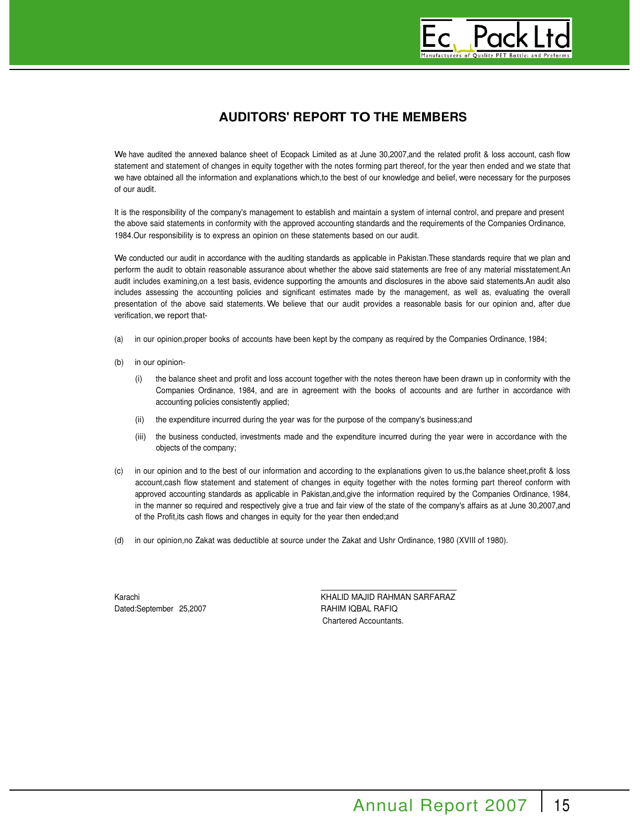# **AUDITORS' REPORT TO THE MEMBERS**

We have audited the annexed balance sheet of Ecopack Limited as at June 30,2007,and the related profit & loss account, cash flow statement and statement of changes in equity together with the notes forming part thereof, for the year then ended and we state that we have obtained all the information and explanations which,to the best of our knowledge and belief, were necessary for the purposes of our audit.

It is the responsibility of the company's management to establish and maintain a system of internal control, and prepare and present the above said statements in conformity with the approved accounting standards and the requirements of the Companies Ordinance, 1984.Our responsibility is to express an opinion on these statements based on our audit.

We conducted our audit in accordance with the auditing standards as applicable in Pakistan.These standards require that we plan and perform the audit to obtain reasonable assurance about whether the above said statements are free of any material misstatement.An audit includes examining,on a test basis, evidence supporting the amounts and disclosures in the above said statements.An audit also includes assessing the accounting policies and significant estimates made by the management, as well as, evaluating the overall presentation of the above said statements. We believe that our audit provides a reasonable basis for our opinion and, after due verification, we report that-

- (a) in our opinion,proper books of accounts have been kept by the company as required by the Companies Ordinance, 1984;
- (b) in our opinion-
	- (i) the balance sheet and profit and loss account together with the notes thereon have been drawn up in conformity with the Companies Ordinance, 1984, and are in agreement with the books of accounts and are further in accordance with accounting policies consistently applied;
	- (ii) the expenditure incurred during the year was for the purpose of the company's business;and
	- (iii) the business conducted, investments made and the expenditure incurred during the year were in accordance with the objects of the company;
- (c) in our opinion and to the best of our information and according to the explanations given to us,the balance sheet,profit & loss account,cash flow statement and statement of changes in equity together with the notes forming part thereof conform with approved accounting standards as applicable in Pakistan,and,give the information required by the Companies Ordinance, 1984, in the manner so required and respectively give a true and fair view of the state of the company's affairs as at June 30,2007,and of the Profit,its cash flows and changes in equity for the year then ended;and
- (d) in our opinion,no Zakat was deductible at source under the Zakat and Ushr Ordinance, 1980 (XVIII of 1980).

Dated:September 25,2007 RAHIM IQBAL RAFIQ

Karachi **KHALID MAJID RAHMAN SARFARAZ** Chartered Accountants.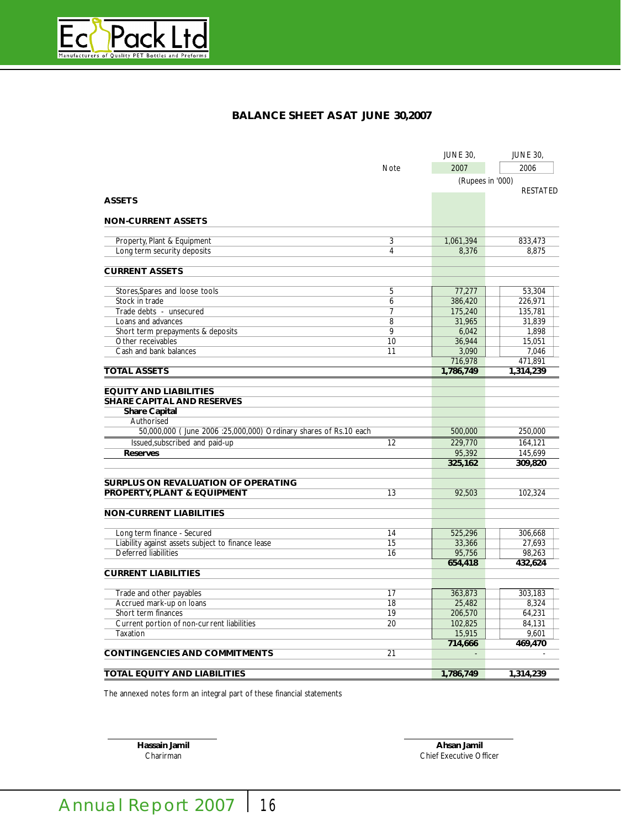

# **BALANCE SHEET AS AT JUNE 30,2007**

|                                                                  |                | <b>JUNE 30,</b>  | <b>JUNE 30,</b> |
|------------------------------------------------------------------|----------------|------------------|-----------------|
|                                                                  | Note           | 2007             | 2006            |
|                                                                  |                | (Rupees in '000) |                 |
|                                                                  |                |                  | <b>RESTATED</b> |
| <b>ASSETS</b>                                                    |                |                  |                 |
| <b>NON-CURRENT ASSETS</b>                                        |                |                  |                 |
|                                                                  |                |                  |                 |
| Property, Plant & Equipment                                      | 3              | 1,061,394        | 833,473         |
| Long term security deposits                                      | $\overline{4}$ | 8,376            | 8.875           |
|                                                                  |                |                  |                 |
| <b>CURRENT ASSETS</b>                                            |                |                  |                 |
| Stores, Spares and loose tools                                   | 5              | 77,277           | 53,304          |
| Stock in trade                                                   | 6              | 386,420          | 226,971         |
|                                                                  | $\overline{7}$ |                  |                 |
| Trade debts - unsecured                                          |                | 175,240          | 135,781         |
| Loans and advances                                               | 8              | 31,965           | 31.839          |
| Short term prepayments & deposits                                | $\overline{9}$ | 6,042            | 1,898           |
| Other receivables                                                | 10             | 36,944           | 15,051          |
| Cash and bank balances                                           | 11             | 3,090            | 7,046           |
|                                                                  |                | 716,978          | 471,891         |
| <b>TOTAL ASSETS</b>                                              |                | 1,786,749        | 1,314,239       |
|                                                                  |                |                  |                 |
| <b>EQUITY AND LIABILITIES</b>                                    |                |                  |                 |
| <b>SHARE CAPITAL AND RESERVES</b>                                |                |                  |                 |
| <b>Share Capital</b>                                             |                |                  |                 |
| Authorised                                                       |                |                  |                 |
| 50,000,000 (June 2006 :25,000,000) Ordinary shares of Rs.10 each |                | 500,000          | 250,000         |
| Issued, subscribed and paid-up                                   | 12             | 229,770          | 164,121         |
| <b>Reserves</b>                                                  |                | 95,392           | 145,699         |
|                                                                  |                | 325,162          | 309,820         |
|                                                                  |                |                  |                 |
| <b>SURPLUS ON REVALUATION OF OPERATING</b>                       |                |                  |                 |
| PROPERTY, PLANT & EQUIPMENT                                      | 13             | 92,503           | 102,324         |
| <b>NON-CURRENT LIABILITIES</b>                                   |                |                  |                 |
|                                                                  |                |                  |                 |
| Long term finance - Secured                                      | 14             | 525,296          | 306,668         |
| Liability against assets subject to finance lease                | 15             | 33,366           | 27,693          |
| <b>Deferred liabilities</b>                                      | 16             | 95,756           | 98,263          |
|                                                                  |                | 654,418          | 432,624         |
| <b>CURRENT LIABILITIES</b>                                       |                |                  |                 |
|                                                                  |                |                  |                 |
| Trade and other payables                                         | 17             | 363,873          | 303,183         |
| Accrued mark-up on loans                                         | 18             | 25,482           | 8,324           |
| Short term finances                                              | 19             | 206,570          | 64,231          |
| Current portion of non-current liabilities                       | 20             | 102,825          | 84,131          |
| Taxation                                                         |                | 15,915           | 9,601           |
|                                                                  |                | 714,666          | 469,470         |
| <b>CONTINGENCIES AND COMMITMENTS</b>                             | 21             |                  |                 |
|                                                                  |                |                  |                 |
| <b>TOTAL EQUITY AND LIABILITIES</b>                              |                | 1,786,749        | 1,314,239       |

The annexed notes form an integral part of these financial statements

**Hassain Jamil Ahsan Jamil** Chief Executive Officer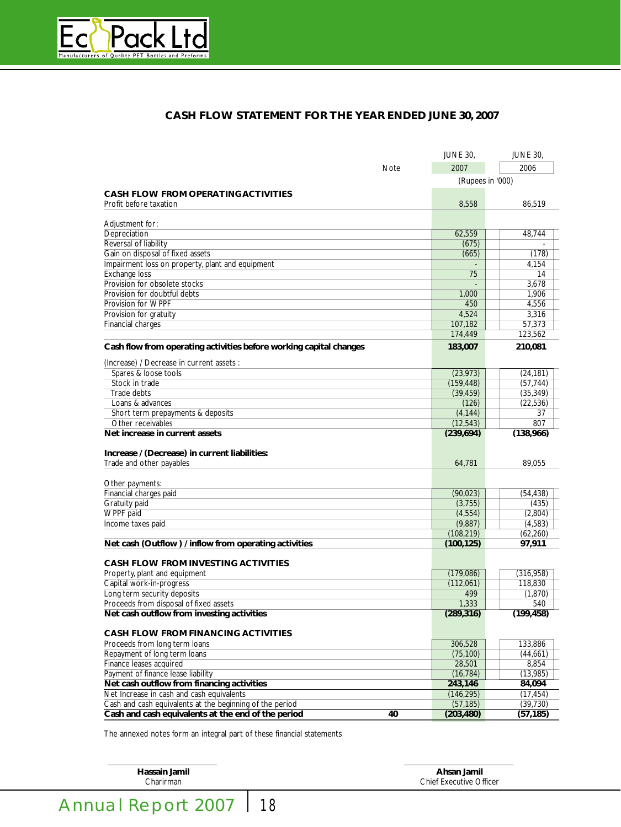

# **CASH FLOW STATEMENT FOR THE YEAR ENDED JUNE 30, 2007**

|                                                                    |             | <b>JUNE 30,</b>  | <b>JUNE 30,</b> |
|--------------------------------------------------------------------|-------------|------------------|-----------------|
|                                                                    | <b>Note</b> | 2007             | 2006            |
|                                                                    |             | (Rupees in '000) |                 |
| <b>CASH FLOW FROM OPERATING ACTIVITIES</b>                         |             |                  |                 |
| Profit before taxation                                             |             | 8,558            | 86,519          |
|                                                                    |             |                  |                 |
| Adjustment for:                                                    |             |                  |                 |
| Depreciation                                                       |             | 62,559           | 48,744          |
| Reversal of liability                                              |             | (675)            |                 |
| Gain on disposal of fixed assets                                   |             | (665)            | (178)           |
| Impairment loss on property, plant and equipment                   |             |                  | 4,154           |
| <b>Exchange loss</b><br>Provision for obsolete stocks              |             | 75               | 14<br>3,678     |
| Provision for doubtful debts                                       |             |                  | 1,906           |
| Provision for WPPF                                                 |             | 1,000<br>450     | 4,556           |
|                                                                    |             | 4,524            | 3,316           |
| Provision for gratuity<br>Financial charges                        |             | 107,182          | 57,373          |
|                                                                    |             | 174,449          | 123,562         |
|                                                                    |             |                  |                 |
| Cash flow from operating activities before working capital changes |             | 183,007          | 210,081         |
| (Increase) / Decrease in current assets :                          |             |                  |                 |
| Spares & loose tools                                               |             | (23, 973)        | (24, 181)       |
| Stock in trade                                                     |             | (159, 448)       | (57, 744)       |
| Trade debts                                                        |             | (39, 459)        | (35, 349)       |
| Loans & advances                                                   |             | (126)            | (22, 536)       |
| Short term prepayments & deposits                                  |             | (4, 144)         | 37              |
| Other receivables                                                  |             | (12, 543)        | 807             |
| Net increase in current assets                                     |             | (239, 694)       | (138,966)       |
|                                                                    |             |                  |                 |
| Increase / (Decrease) in current liabilities:                      |             |                  |                 |
| Trade and other payables                                           |             | 64,781           | 89,055          |
| Other payments:                                                    |             |                  |                 |
| Financial charges paid                                             |             | (90, 023)        | (54, 438)       |
| Gratuity paid                                                      |             | (3,755)          | (435)           |
| WPPF paid                                                          |             | (4, 554)         | (2,804)         |
| Income taxes paid                                                  |             | (9,887)          | (4,583)         |
|                                                                    |             | (108, 219)       | (62, 260)       |
| Net cash (Outflow) / inflow from operating activities              |             | (100, 125)       | 97,911          |
|                                                                    |             |                  |                 |
| <b>CASH FLOW FROM INVESTING ACTIVITIES</b>                         |             |                  |                 |
| Property, plant and equipment                                      |             | (179,086)        | (316, 958)      |
| Capital work-in-progress                                           |             | (112,061)        | 118,830         |
| Long term security deposits                                        |             | 499              | (1, 870)        |
| Proceeds from disposal of fixed assets                             |             | 1,333            | 540             |
| Net cash outflow from investing activities                         |             | (289, 316)       | (199, 458)      |
| <b>CASH FLOW FROM FINANCING ACTIVITIES</b>                         |             |                  |                 |
| Proceeds from long term loans                                      |             | 306,528          | 133,886         |
| Repayment of long term loans                                       |             | (75, 100)        | (44, 661)       |
| Finance leases acquired                                            |             | 28,501           | 8,854           |
| Payment of finance lease liability                                 |             | (16, 784)        | (13,985)        |
| Net cash outflow from financing activities                         |             | 243,146          | 84,094          |
| Net Increase in cash and cash equivalents                          |             | (146, 295)       | (17, 454)       |
| Cash and cash equivalents at the beginning of the period           |             | (57, 185)        | (39, 730)       |
| Cash and cash equivalents at the end of the period                 | 40          | (203, 480)       | (57, 185)       |
|                                                                    |             |                  |                 |

The annexed notes form an integral part of these financial statements

**Hassain Jamil Ahsan Jamil** Chief Executive Officer

Annual Report 2007 | 18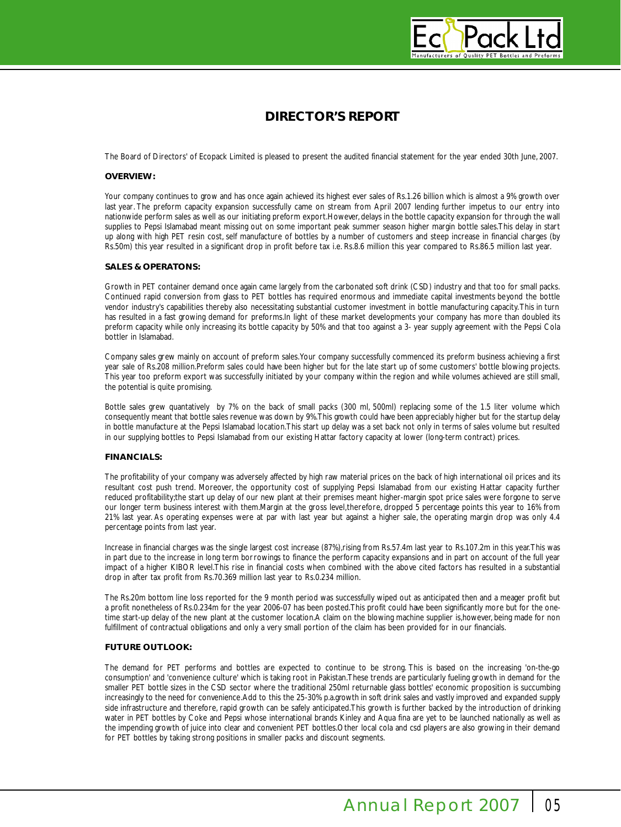

# **DIRECTOR'S REPORT**

The Board of Directors' of Ecopack Limited is pleased to present the audited financial statement for the year ended 30th June, 2007.

#### **OVERVIEW:**

Your company continues to grow and has once again achieved its highest ever sales of Rs.1.26 billion which is almost a 9% growth over last year. The preform capacity expansion successfully came on stream from April 2007 lending further impetus to our entry into nationwide perform sales as well as our initiating preform export.However, delays in the bottle capacity expansion for through the wall supplies to Pepsi Islamabad meant missing out on some important peak summer season higher margin bottle sales.This delay in start up along with high PET resin cost, self manufacture of bottles by a number of customers and steep increase in financial charges (by Rs.50m) this year resulted in a significant drop in profit before tax i.e. Rs.8.6 million this year compared to Rs.86.5 million last year.

#### **SALES & OPERATONS:**

Growth in PET container demand once again came largely from the carbonated soft drink (CSD) industry and that too for small packs. Continued rapid conversion from glass to PET bottles has required enormous and immediate capital investments beyond the bottle vendor industry's capabilities thereby also necessitating substantial customer investment in bottle manufacturing capacity.This in turn has resulted in a fast growing demand for preforms.In light of these market developments your company has more than doubled its preform capacity while only increasing its bottle capacity by 50% and that too against a 3- year supply agreement with the Pepsi Cola bottler in Islamabad.

Company sales grew mainly on account of preform sales.Your company successfully commenced its preform business achieving a first year sale of Rs.208 million.Preform sales could have been higher but for the late start up of some customers' bottle blowing projects. This year too preform export was successfully initiated by your company within the region and while volumes achieved are still small, the potential is quite promising.

Bottle sales grew quantatively by 7% on the back of small packs (300 ml, 500ml) replacing some of the 1.5 liter volume which consequently meant that bottle sales revenue was down by 9%.This growth could have been appreciably higher but for the startup delay in bottle manufacture at the Pepsi Islamabad location.This start up delay was a set back not only in terms of sales volume but resulted in our supplying bottles to Pepsi Islamabad from our existing Hattar factory capacity at lower (long-term contract) prices.

#### **FINANCIALS:**

The profitability of your company was adversely affected by high raw material prices on the back of high international oil prices and its resultant cost push trend. Moreover, the opportunity cost of supplying Pepsi Islamabad from our existing Hattar capacity further reduced profitability;the start up delay of our new plant at their premises meant higher-margin spot price sales were forgone to serve our longer term business interest with them.Margin at the gross level,therefore, dropped 5 percentage points this year to 16% from 21% last year. As operating expenses were at par with last year but against a higher sale, the operating margin drop was only 4.4 percentage points from last year.

Increase in financial charges was the single largest cost increase (87%),rising from Rs.57.4m last year to Rs.107.2m in this year.This was in part due to the increase in long term borrowings to finance the perform capacity expansions and in part on account of the full year impact of a higher KIBOR level.This rise in financial costs when combined with the above cited factors has resulted in a substantial drop in after tax profit from Rs.70.369 million last year to Rs.0.234 million.

The Rs.20m bottom line loss reported for the 9 month period was successfully wiped out as anticipated then and a meager profit but a profit nonetheless of Rs.0.234m for the year 2006-07 has been posted.This profit could have been significantly more but for the onetime start-up delay of the new plant at the customer location.A claim on the blowing machine supplier is,however, being made for non fulfillment of contractual obligations and only a very small portion of the claim has been provided for in our financials.

## **FUTURE OUTLOOK:**

The demand for PET performs and bottles are expected to continue to be strong. This is based on the increasing 'on-the-go consumption' and 'convenience culture' which is taking root in Pakistan.These trends are particularly fueling growth in demand for the smaller PET bottle sizes in the CSD sector where the traditional 250ml returnable glass bottles' economic proposition is succumbing increasingly to the need for convenience.Add to this the 25-30% p.a.growth in soft drink sales and vastly improved and expanded supply side infrastructure and therefore, rapid growth can be safely anticipated.This growth is further backed by the introduction of drinking water in PET bottles by Coke and Pepsi whose international brands Kinley and Aqua fina are yet to be launched nationally as well as the impending growth of juice into clear and convenient PET bottles.Other local cola and csd players are also growing in their demand for PET bottles by taking strong positions in smaller packs and discount segments.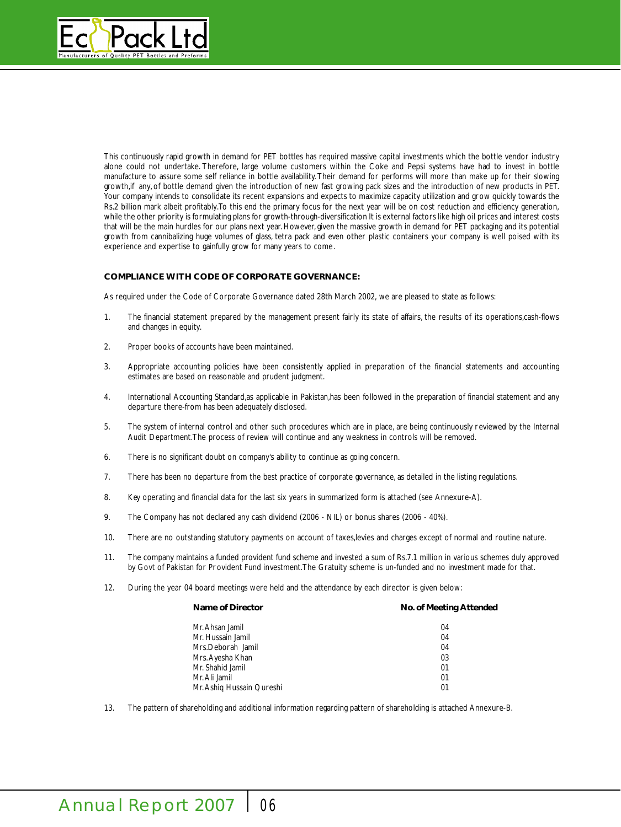

This continuously rapid growth in demand for PET bottles has required massive capital investments which the bottle vendor industry alone could not undertake. Therefore, large volume customers within the Coke and Pepsi systems have had to invest in bottle manufacture to assure some self reliance in bottle availability. Their demand for performs will more than make up for their slowing growth,if any, of bottle demand given the introduction of new fast growing pack sizes and the introduction of new products in PET. Your company intends to consolidate its recent expansions and expects to maximize capacity utilization and grow quickly towards the Rs.2 billion mark albeit profitably.To this end the primary focus for the next year will be on cost reduction and efficiency generation, while the other priority is formulating plans for growth-through-diversification It is external factors like high oil prices and interest costs that will be the main hurdles for our plans next year. However, given the massive growth in demand for PET packaging and its potential growth from cannibalizing huge volumes of glass, tetra pack and even other plastic containers your company is well poised with its experience and expertise to gainfully grow for many years to come.

# **COMPLIANCE WITH CODE OF CORPORATE GOVERNANCE:**

As required under the Code of Corporate Governance dated 28th March 2002, we are pleased to state as follows:

- 1. The financial statement prepared by the management present fairly its state of affairs, the results of its operations,cash-flows and changes in equity.
- 2. Proper books of accounts have been maintained.
- 3. Appropriate accounting policies have been consistently applied in preparation of the financial statements and accounting estimates are based on reasonable and prudent judgment.
- 4. International Accounting Standard,as applicable in Pakistan,has been followed in the preparation of financial statement and any departure there-from has been adequately disclosed.
- 5. The system of internal control and other such procedures which are in place, are being continuously reviewed by the Internal Audit Department.The process of review will continue and any weakness in controls will be removed.
- 6. There is no significant doubt on company's ability to continue as going concern.
- 7. There has been no departure from the best practice of corporate governance, as detailed in the listing regulations.
- 8. Key operating and financial data for the last six years in summarized form is attached (see Annexure-A).
- 9. The Company has not declared any cash dividend (2006 NIL) or bonus shares (2006 40%).
- 10. There are no outstanding statutory payments on account of taxes,levies and charges except of normal and routine nature.
- 11. The company maintains a funded provident fund scheme and invested a sum of Rs.7.1 million in various schemes duly approved by Govt of Pakistan for Provident Fund investment.The Gratuity scheme is un-funded and no investment made for that.
- 12. During the year 04 board meetings were held and the attendance by each director is given below:

| Name of Director          | No. of Meeting Attended |
|---------------------------|-------------------------|
| Mr. Ahsan Jamil           | 04                      |
| Mr. Hussain Jamil         | 04                      |
| Mrs.Deborah Jamil         | 04                      |
| Mrs. Ayesha Khan          | 03                      |
| Mr. Shahid Jamil          | 01                      |
| Mr. Ali Jamil             | 01                      |
| Mr. Ashig Hussain Qureshi | 01                      |
|                           |                         |

13. The pattern of shareholding and additional information regarding pattern of shareholding is attached Annexure-B.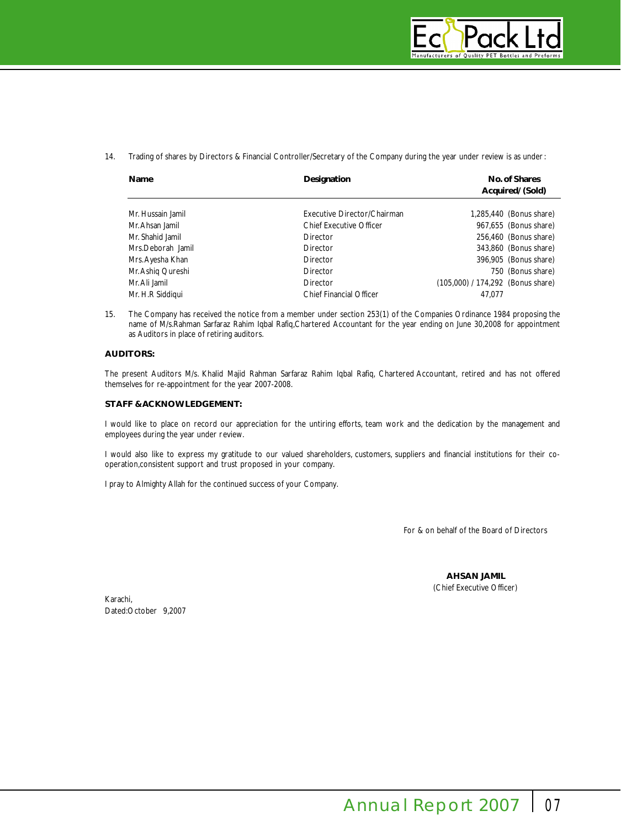

14. Trading of shares by Directors & Financial Controller/Secretary of the Company during the year under review is as under:

| Name              | Designation                    | No. of Shares<br>Acquired/ (Sold) |
|-------------------|--------------------------------|-----------------------------------|
| Mr. Hussain Jamil | Executive Director/Chairman    | 1,285,440 (Bonus share)           |
| Mr. Ahsan Jamil   | <b>Chief Executive Officer</b> | 967,655 (Bonus share)             |
| Mr. Shahid Jamil  | Director                       | 256,460 (Bonus share)             |
| Mrs.Deborah Jamil | Director                       | 343,860 (Bonus share)             |
| Mrs. Ayesha Khan  | Director                       | 396,905 (Bonus share)             |
| Mr. Ashig Qureshi | Director                       | 750 (Bonus share)                 |
| Mr. Ali Jamil     | Director                       | (105,000) / 174,292 (Bonus share) |
| Mr. H.R Siddigui  | <b>Chief Financial Officer</b> | 47.077                            |

15. The Company has received the notice from a member under section 253(1) of the Companies Ordinance 1984 proposing the name of M/s.Rahman Sarfaraz Rahim Iqbal Rafiq,Chartered Accountant for the year ending on June 30,2008 for appointment as Auditors in place of retiring auditors.

# **AUDITORS:**

The present Auditors M/s. Khalid Majid Rahman Sarfaraz Rahim Iqbal Rafiq, Chartered Accountant, retired and has not offered themselves for re-appointment for the year 2007-2008.

### **STAFF & ACKNOWLEDGEMENT:**

I would like to place on record our appreciation for the untiring efforts, team work and the dedication by the management and employees during the year under review.

I would also like to express my gratitude to our valued shareholders, customers, suppliers and financial institutions for their cooperation,consistent support and trust proposed in your company.

I pray to Almighty Allah for the continued success of your Company.

For & on behalf of the Board of Directors

**AHSAN JAMIL** (Chief Executive Officer)

Karachi, Dated:October 9,2007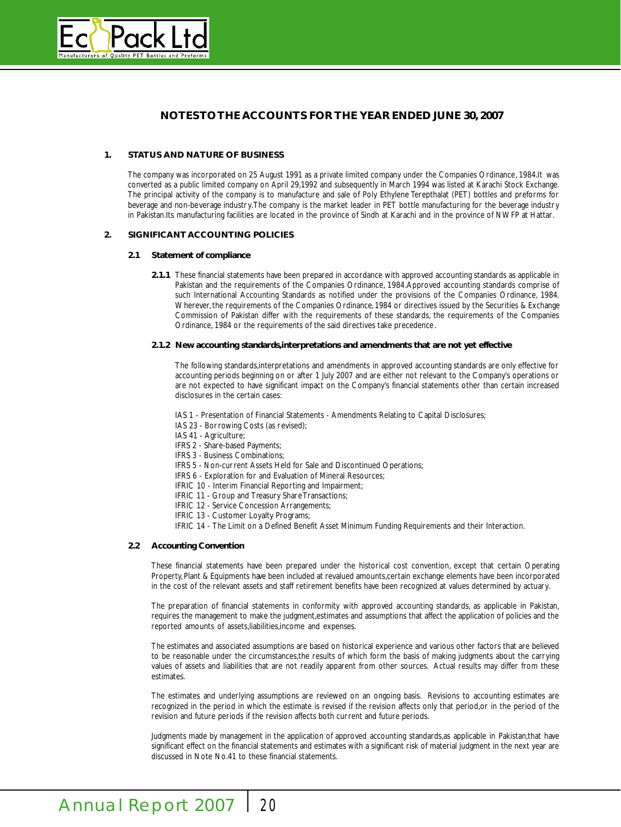

# **NOTES TOTHE ACCOUNTS FOR THE YEAR ENDED JUNE 30, 2007**

### **1. STATUS AND NATURE OF BUSINESS**

The company was incorporated on 25 August 1991 as a private limited company under the Companies Ordinance, 1984.It was converted as a public limited company on April 29,1992 and subsequently in March 1994 was listed at Karachi Stock Exchange. The principal activity of the company is to manufacture and sale of Poly Ethylene Terepthalat (PET) bottles and preforms for beverage and non-beverage industry.The company is the market leader in PET bottle manufacturing for the beverage industry in Pakistan.Its manufacturing facilities are located in the province of Sindh at Karachi and in the province of NWFP at Hattar.

## **2. SIGNIFICANT ACCOUNTING POLICIES**

#### **2.1 Statement of compliance**

**2.1.1** These financial statements have been prepared in accordance with approved accounting standards as applicable in Pakistan and the requirements of the Companies Ordinance, 1984.Approved accounting standards comprise of such International Accounting Standards as notified under the provisions of the Companies Ordinance, 1984. Wherever, the requirements of the Companies Ordinance, 1984 or directives issued by the Securities & Exchange Commission of Pakistan differ with the requirements of these standards, the requirements of the Companies Ordinance, 1984 or the requirements of the said directives take precedence .

#### **2.1.2 New accounting standards,interpretations and amendments that are not yet effective**

The following standards,interpretations and amendments in approved accounting standards are only effective for accounting periods beginning on or after 1 July 2007 and are either not relevant to the Company's operations or are not expected to have significant impact on the Company's financial statements other than certain increased disclosures in the certain cases:

IAS 1 - Presentation of Financial Statements - Amendments Relating to Capital Disclosures;

IAS 23 - Borrowing Costs (as revised);

IAS 41 - Agriculture;

IFRS 2 - Share-based Payments;

IFRS 3 - Business Combinations;

IFRS 5 - Non-current Assets Held for Sale and Discontinued Operations;

IFRS 6 - Exploration for and Evaluation of Mineral Resources;

IFRIC 10 - Interim Financial Reporting and Impairment;

IFRIC 11 - Group and Treasury Share Transactions;

IFRIC 12 - Service Concession Arrangements;

IFRIC 13 - Customer Loyalty Programs;

IFRIC 14 - The Limit on a Defined Benefit Asset Minimum Funding Requirements and their Interaction.

#### **2.2 Accounting Convention**

These financial statements have been prepared under the historical cost convention, except that certain Operating Property,Plant & Equipments have been included at revalued amounts,certain exchange elements have been incorporated in the cost of the relevant assets and staff retirement benefits have been recognized at values determined by actuary.

The preparation of financial statements in conformity with approved accounting standards, as applicable in Pakistan, requires the management to make the judgment,estimates and assumptions that affect the application of policies and the reported amounts of assets,liabilities,income and expenses.

The estimates and associated assumptions are based on historical experience and various other factors that are believed to be reasonable under the circumstances,the results of which form the basis of making judgments about the carrying values of assets and liabilities that are not readily apparent from other sources. Actual results may differ from these estimates.

The estimates and underlying assumptions are reviewed on an ongoing basis. Revisions to accounting estimates are recognized in the period in which the estimate is revised if the revision affects only that period,or in the period of the revision and future periods if the revision affects both current and future periods.

Judgments made by management in the application of approved accounting standards,as applicable in Pakistan,that have significant effect on the financial statements and estimates with a significant risk of material judgment in the next year are discussed in Note No.41 to these financial statements.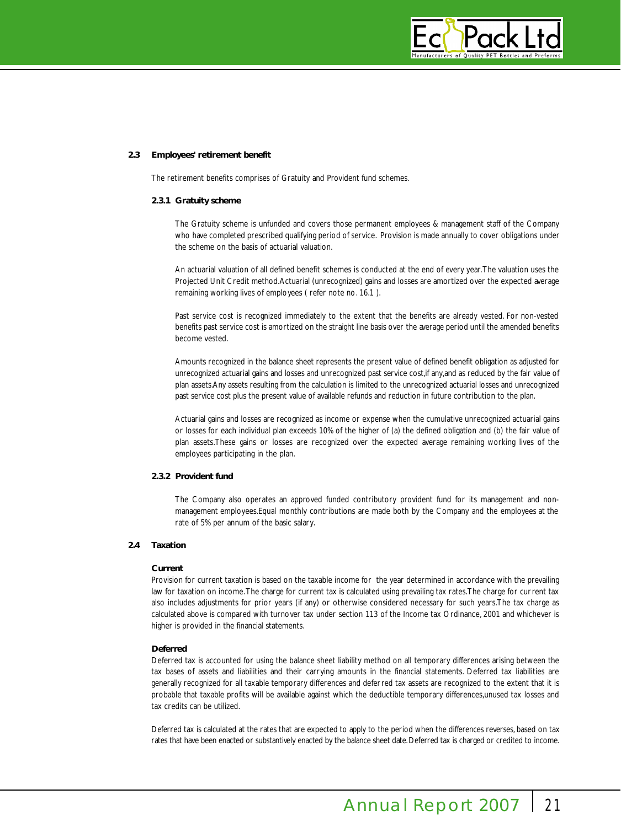

### **2.3 Employees' retirement benefit**

The retirement benefits comprises of Gratuity and Provident fund schemes.

### **2.3.1 Gratuity scheme**

The Gratuity scheme is unfunded and covers those permanent employees & management staff of the Company who have completed prescribed qualifying period of service. Provision is made annually to cover obligations under the scheme on the basis of actuarial valuation.

An actuarial valuation of all defined benefit schemes is conducted at the end of every year.The valuation uses the Projected Unit Credit method.Actuarial (unrecognized) gains and losses are amortized over the expected average remaining working lives of employees ( refer note no. 16.1 ).

Past service cost is recognized immediately to the extent that the benefits are already vested. For non-vested benefits past service cost is amortized on the straight line basis over the average period until the amended benefits become vested.

Amounts recognized in the balance sheet represents the present value of defined benefit obligation as adjusted for unrecognized actuarial gains and losses and unrecognized past service cost, if any, and as reduced by the fair value of plan assets.Any assets resulting from the calculation is limited to the unrecognized actuarial losses and unrecognized past service cost plus the present value of available refunds and reduction in future contribution to the plan.

Actuarial gains and losses are recognized as income or expense when the cumulative unrecognized actuarial gains or losses for each individual plan exceeds 10% of the higher of (a) the defined obligation and (b) the fair value of plan assets.These gains or losses are recognized over the expected average remaining working lives of the employees participating in the plan.

#### **2.3.2 Provident fund**

The Company also operates an approved funded contributory provident fund for its management and nonmanagement employees.Equal monthly contributions are made both by the Company and the employees at the rate of 5% per annum of the basic salary.

# **2.4 Taxation**

#### **Current**

Provision for current taxation is based on the taxable income for the year determined in accordance with the prevailing law for taxation on income.The charge for current tax is calculated using prevailing tax rates.The charge for current tax also includes adjustments for prior years (if any) or otherwise considered necessary for such years.The tax charge as calculated above is compared with turnover tax under section 113 of the Income tax Ordinance, 2001 and whichever is higher is provided in the financial statements.

## **Deferred**

Deferred tax is accounted for using the balance sheet liability method on all temporary differences arising between the tax bases of assets and liabilities and their carrying amounts in the financial statements. Deferred tax liabilities are generally recognized for all taxable temporary differences and deferred tax assets are recognized to the extent that it is probable that taxable profits will be available against which the deductible temporary differences,unused tax losses and tax credits can be utilized.

Deferred tax is calculated at the rates that are expected to apply to the period when the differences reverses, based on tax rates that have been enacted or substantively enacted by the balance sheet date. Deferred tax is charged or credited to income.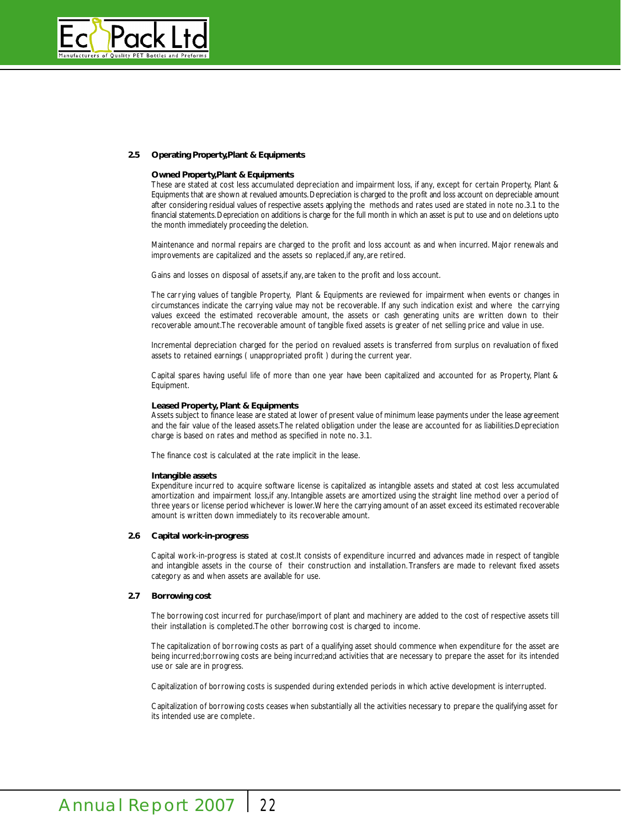

### 2.5 Operating Property, Plant & Equipments

#### **Owned Property, Plant & Equipments**

These are stated at cost less accumulated depreciation and impairment loss, if any, except for certain Property, Plant & Equipments that are shown at revalued amounts. Depreciation is charged to the profit and loss account on depreciable amount after considering residual values of respective assets applying the methods and rates used are stated in note no.3.1 to the financial statements. Depreciation on additions is charge for the full month in which an asset is put to use and on deletions upto the month immediately proceeding the deletion.

Maintenance and normal repairs are charged to the profit and loss account as and when incurred. Major renewals and improvements are capitalized and the assets so replaced,if any, are retired.

Gains and losses on disposal of assets,if any, are taken to the profit and loss account.

The carrying values of tangible Property, Plant & Equipments are reviewed for impairment when events or changes in circumstances indicate the carrying value may not be recoverable. If any such indication exist and where the carrying values exceed the estimated recoverable amount, the assets or cash generating units are written down to their recoverable amount.The recoverable amount of tangible fixed assets is greater of net selling price and value in use.

Incremental depreciation charged for the period on revalued assets is transferred from surplus on revaluation of fixed assets to retained earnings ( unappropriated profit ) during the current year.

Capital spares having useful life of more than one year have been capitalized and accounted for as Property, Plant & Equipment.

#### **Leased Property, Plant & Equipments**

Assets subject to finance lease are stated at lower of present value of minimum lease payments under the lease agreement and the fair value of the leased assets.The related obligation under the lease are accounted for as liabilities.Depreciation charge is based on rates and method as specified in note no. 3.1.

The finance cost is calculated at the rate implicit in the lease.

#### **Intangible assets**

Expenditure incurred to acquire software license is capitalized as intangible assets and stated at cost less accumulated amortization and impairment loss,if any. Intangible assets are amortized using the straight line method over a period of three years or license period whichever is lower.Where the carrying amount of an asset exceed its estimated recoverable amount is written down immediately to its recoverable amount.

### **2.6 Capital work-in-progress**

Capital work-in-progress is stated at cost.It consists of expenditure incurred and advances made in respect of tangible and intangible assets in the course of their construction and installation. Transfers are made to relevant fixed assets category as and when assets are available for use.

## **2.7 Borrowing cost**

The borrowing cost incurred for purchase/import of plant and machinery are added to the cost of respective assets till their installation is completed.The other borrowing cost is charged to income.

The capitalization of borrowing costs as part of a qualifying asset should commence when expenditure for the asset are being incurred;borrowing costs are being incurred;and activities that are necessary to prepare the asset for its intended use or sale are in progress.

Capitalization of borrowing costs is suspended during extended periods in which active development is interrupted.

Capitalization of borrowing costs ceases when substantially all the activities necessary to prepare the qualifying asset for its intended use are complete.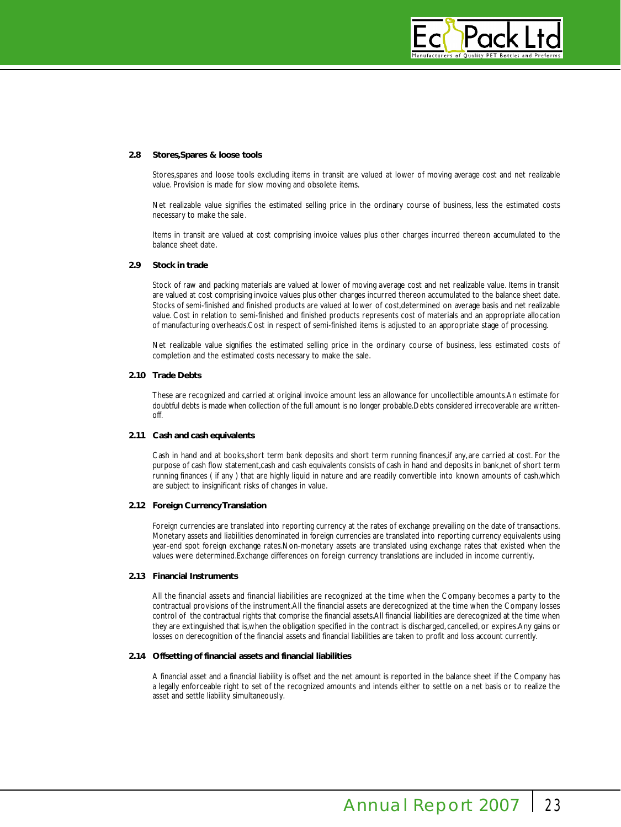

#### **2.8 Stores,Spares & loose tools**

Stores,spares and loose tools excluding items in transit are valued at lower of moving average cost and net realizable value. Provision is made for slow moving and obsolete items.

Net realizable value signifies the estimated selling price in the ordinary course of business, less the estimated costs necessary to make the sale .

Items in transit are valued at cost comprising invoice values plus other charges incurred thereon accumulated to the balance sheet date.

### **2.9 Stock in trade**

Stock of raw and packing materials are valued at lower of moving average cost and net realizable value. Items in transit are valued at cost comprising invoice values plus other charges incurred thereon accumulated to the balance sheet date. Stocks of semi-finished and finished products are valued at lower of cost,determined on average basis and net realizable value. Cost in relation to semi-finished and finished products represents cost of materials and an appropriate allocation of manufacturing overheads.Cost in respect of semi-finished items is adjusted to an appropriate stage of processing.

Net realizable value signifies the estimated selling price in the ordinary course of business, less estimated costs of completion and the estimated costs necessary to make the sale.

#### **2.10 Trade Debts**

These are recognized and carried at original invoice amount less an allowance for uncollectible amounts.An estimate for doubtful debts is made when collection of the full amount is no longer probable.Debts considered irrecoverable are written- $\bigcap_{i=1}^n$ 

# **2.11 Cash and cash equivalents**

Cash in hand and at books,short term bank deposits and short term running finances,if any, are carried at cost. For the purpose of cash flow statement,cash and cash equivalents consists of cash in hand and deposits in bank,net of short term running finances ( if any ) that are highly liquid in nature and are readily convertible into known amounts of cash,which are subject to insignificant risks of changes in value.

# **2.12 Foreign Currency Translation**

Foreign currencies are translated into reporting currency at the rates of exchange prevailing on the date of transactions. Monetary assets and liabilities denominated in foreign currencies are translated into reporting currency equivalents using year-end spot foreign exchange rates.Non-monetary assets are translated using exchange rates that existed when the values were determined.Exchange differences on foreign currency translations are included in income currently.

#### **2.13 Financial Instruments**

All the financial assets and financial liabilities are recognized at the time when the Company becomes a party to the contractual provisions of the instrument.All the financial assets are derecognized at the time when the Company losses control of the contractual rights that comprise the financial assets.All financial liabilities are derecognized at the time when they are extinguished that is, when the obligation specified in the contract is discharged, cancelled, or expires. Any gains or losses on derecognition of the financial assets and financial liabilities are taken to profit and loss account currently.

#### **2.14 Offsetting of financial assets and financial liabilities**

A financial asset and a financial liability is offset and the net amount is reported in the balance sheet if the Company has a legally enforceable right to set of the recognized amounts and intends either to settle on a net basis or to realize the asset and settle liability simultaneously.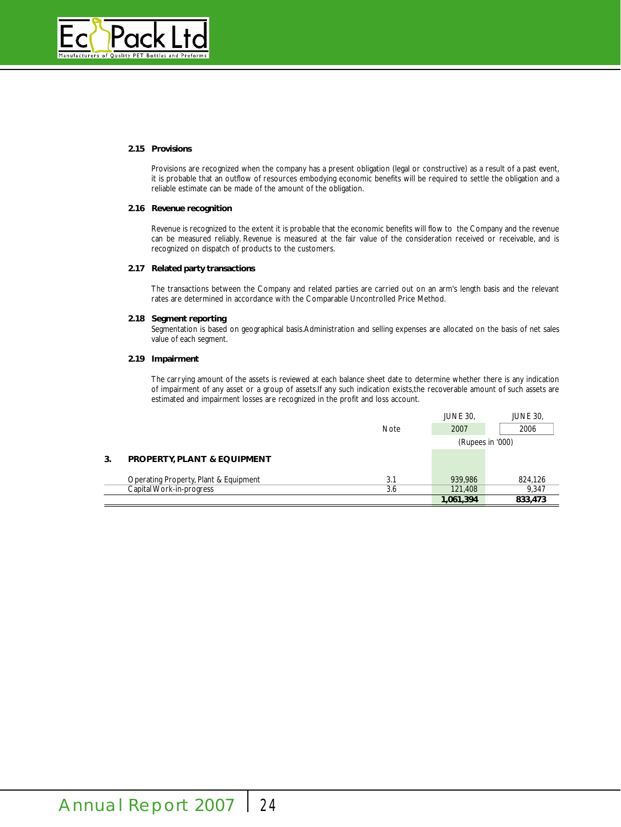

#### **2.15 Provisions**

Provisions are recognized when the company has a present obligation (legal or constructive) as a result of a past event, it is probable that an outflow of resources embodying economic benefits will be required to settle the obligation and a reliable estimate can be made of the amount of the obligation.

#### **2.16 Revenue recognition**

Revenue is recognized to the extent it is probable that the economic benefits will flow to the Company and the revenue can be measured reliably. Revenue is measured at the fair value of the consideration received or receivable, and is recognized on dispatch of products to the customers.

# **2.17 Related party transactions**

The transactions between the Company and related parties are carried out on an arm's length basis and the relevant rates are determined in accordance with the Comparable Uncontrolled Price Method.

### **2.18 Segment reporting**

Segmentation is based on geographical basis.Administration and selling expenses are allocated on the basis of net sales value of each segment.

## **2.19 Impairment**

The carrying amount of the assets is reviewed at each balance sheet date to determine whether there is any indication of impairment of any asset or a group of assets.If any such indication exists,the recoverable amount of such assets are estimated and impairment losses are recognized in the profit and loss account.

|    |                                        |             | 1,061,394        | 833,473         |
|----|----------------------------------------|-------------|------------------|-----------------|
|    | Capital Work-in-progress               | 3.6         | 121,408          | 9.347           |
|    | Operating Property, Plant & Equipment  | 3.1         | 939.986          | 824.126         |
| 3. | <b>PROPERTY, PLANT &amp; EQUIPMENT</b> |             |                  |                 |
|    |                                        |             | (Rupees in '000) |                 |
|    |                                        | <b>Note</b> | 2007             | 2006            |
|    |                                        |             | <b>JUNE 30,</b>  | <b>JUNE 30,</b> |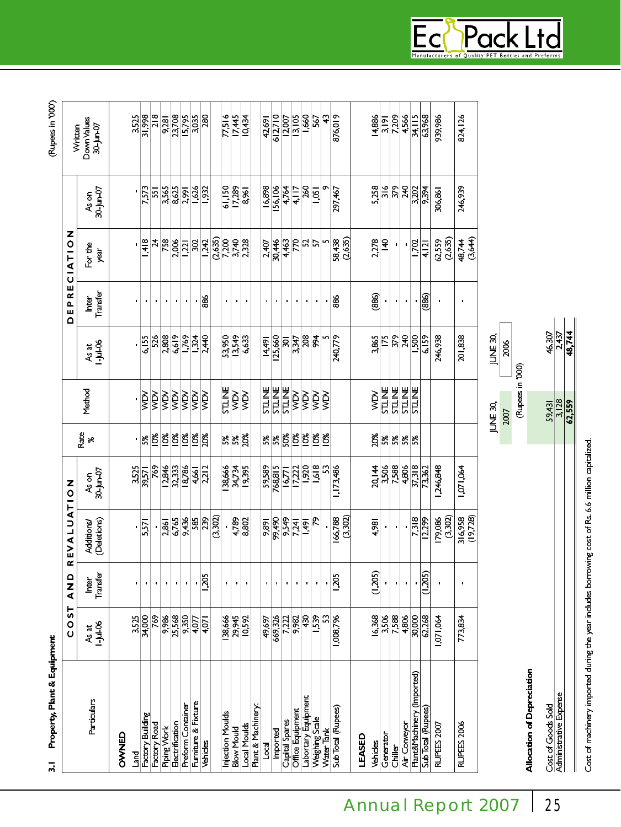| Property, Plant & Equipment<br>$\overline{a}$ |                         |                   |                                  |                    |            |                  |                        |                   |                          |                    | (Rupees in '000')        |
|-----------------------------------------------|-------------------------|-------------------|----------------------------------|--------------------|------------|------------------|------------------------|-------------------|--------------------------|--------------------|--------------------------|
|                                               | ۳<br>m<br>O<br>U        | ≏<br>Z<br>∢       | EVALUAT<br>œ                     | $\frac{z}{2}$      |            |                  |                        | EPRE<br>Δ         | Z<br><b>IATIO</b><br>Ü   |                    | Written                  |
| Particulars                                   | $-1 - 10 - 06$<br>As at | Transfer<br>Inter | (Deletions)<br><b>Additions/</b> | 70-Jun-07<br>As on | Rate<br>৯ৎ | Method           | $1 - 14 - 06$<br>As at | Transfer<br>Inter | For the<br>year          | 30-Jun-07<br>As on | Down Values<br>30-Jun-07 |
| OWNED                                         |                         |                   |                                  |                    |            |                  |                        |                   |                          |                    |                          |
| lard                                          | 3,525                   |                   |                                  | 3,525              |            |                  |                        |                   |                          |                    | 3,525                    |
| Factory Building                              | 34,000                  | $\blacksquare$    | 5,571                            | 39,571             | βĶ         | <b>NOW</b>       | 6,155                  |                   | 1,418                    | 7,573              | 31,998                   |
| Factory Road                                  | 769                     | $\blacksquare$    | í,                               | 769                | 10%        | уğ               | 526                    | $\blacksquare$    | ¥,                       | 551                | $\frac{8}{2}$            |
| Piping Work                                   | 9,986                   | $\blacksquare$    | 2,861                            | 12,846             | <b>PS</b>  | XQV              | 2,808                  | $\blacksquare$    | 758                      | 3,565              | 9.281                    |
| Electrification                               | 25,568                  | $\blacksquare$    | 6,765                            | 32,333             | 10%        | <b>XCM</b>       | 6,619                  | $\blacksquare$    | 2,006                    | 8,625              | 23,708                   |
| Preform Container                             | 9,350                   | $\blacksquare$    | 9,436                            | 18,786             | 10%        | <b>XCM</b>       | 1,769                  | $\blacksquare$    | 221                      | 2,991              | 15,795                   |
| Furniture & Fixture                           | 4,077                   | $\blacksquare$    | 585                              | 4,661              | 10%        | <b>NOW</b>       | 1,324                  | $\blacksquare$    | 302                      | 1,626              | 3,035                    |
| Vehicles                                      | 4,071                   | 1,205             | 239                              | 2,212              | 20%        | <b>NOM</b>       | 2,440                  | 886               | 1,242                    | 1,932              | 280                      |
|                                               |                         |                   | (3,302)                          |                    |            |                  |                        |                   | (2,635)                  |                    |                          |
| Injection Moulds                              | 38,666                  | $\blacksquare$    |                                  | 38,666             | 5%         | <b>STLINE</b>    | 53,950                 | $\blacksquare$    | 7,200                    | 61,150             | 77,516                   |
| <b>Blow Mould</b>                             | 29,945                  | $\blacksquare$    | 4,789                            | <b>KL'K</b>        | 5%         | <b>NOW</b>       | 13,549                 | ٠                 | 3,740                    | 17,289             | 17,445                   |
| Local Moulds                                  | 10.592                  | $\blacksquare$    | 8,802                            | 19,395             | 20%        | <b>NOW</b>       | 6.633                  | $\blacksquare$    | 2,328                    | 8,961              | 10,434                   |
| Plant & Machinery                             |                         |                   |                                  |                    |            |                  |                        |                   |                          |                    |                          |
| $\overline{\phantom{a}}$                      | 49,697                  | $\blacksquare$    | 9,891                            | 59,589             | 5%         | <b>STLINE</b>    | 14,491                 | $\blacksquare$    | 2,407                    | 16,898             | 42,691                   |
| Imported                                      | 669,326                 | $\blacksquare$    | 99,490                           | 768,815            | 5%         | <b>STLINE</b>    | 125,660                | $\blacksquare$    | 30,446                   | 156,106            | 612,710                  |
| Capital Spares                                | 7,222                   | $\blacksquare$    | 9,549                            | 16,771             | 50%        | <b>STLINE</b>    | $\overline{a}$         | t,                | 4,463                    | 4,764              | 12,007                   |
| Office Equipment                              | 9,982                   | $\blacksquare$    | 7,241                            | 17,222             | $10\%$     | <b>NOW</b>       | 3.347                  | $\blacksquare$    | $\overline{\mathcal{R}}$ | 4,117              | 13,105                   |
| Labortary Equipment                           | 430                     | $\blacksquare$    | $\frac{1}{2}$                    | 1,920              | 10%        | XQV              | 208                    | ٠                 | 25                       | 260                | 1,660                    |
| Weighing Scale                                | 1,539                   | $\blacksquare$    | ደ                                | 1,618              | 10%        | XIV              | 994                    | $\blacksquare$    | 57                       | 1,051              | 567                      |
| Water Tank                                    | S                       | $\blacksquare$    | j,                               | S                  | $10\%$     | <b>NOW</b>       | Щ                      | $\blacksquare$    | ŋ                        |                    | ₽                        |
| Sub Total (Rupees)                            | 1,008,796               | 1,205             | (3,302)<br>166,788               | 1,173,486          |            |                  | 240,779                | 88                | (2,635)<br>58,438        | 297,467            | 876,019                  |
| LEASED                                        |                         |                   |                                  |                    |            |                  |                        |                   |                          |                    |                          |
| Vehicles                                      | 16,368                  | (1,205)           | 4,981                            | 20, 144            | 20%        | ygy              | 3,865                  | (886)             | 2,278                    | 5,258              | 14,886                   |
| Generator                                     | 3,506                   | $\blacksquare$    | $\blacksquare$                   | 3,506              | 5%         | <b>STLINE</b>    | 175                    | ٠                 | $rac{4}{5}$              | 316                | 3,191                    |
| Chiller                                       | 7,588                   | $\blacksquare$    | $\blacksquare$                   | 7,588              | 5%         | <b>STLINE</b>    | 379                    | $\blacksquare$    | p                        | 379                | 7,209                    |
| Air Conveyor                                  | 4,806                   | $\blacksquare$    | i,                               | 4,806              | 5%         | <b>STLINE</b>    | 540                    | $\blacksquare$    | f,                       | 240                | 4,566                    |
| Plant&Machinery (Imported)                    | 30,000                  | ×                 | 7,318                            | 37.318             | š,         | <b>STLINE</b>    | L <sub>500</sub>       | þ                 | 1.702                    | 3.202              | 34,115                   |
| Sub Total (Rupees)                            | 62,268                  | (1,205)           | $\frac{12.299}{5}$               | 73,362             |            |                  | 6,159                  | (886)             | 4,121                    | 9,394              | 63,968                   |
| RUPEES 2007                                   | 1,071,064               | f,                | (3,302)<br>179,086               | 1,246,848          |            |                  | 246,938                | t                 | (2,635)<br>62,559        | 306,861            | 939,986                  |
| RUPEES 2006                                   | 773,834                 |                   | (19,728)<br>316,958              | 1,071,064          |            |                  | 201,838                | $\blacksquare$    | (3,644)<br>48,744        | 246,939            | 824,126                  |
|                                               |                         |                   |                                  |                    |            | JUNE 30,         | JUNE 30,               |                   |                          |                    |                          |
|                                               |                         |                   |                                  |                    |            | 2007             | 2006                   |                   |                          |                    |                          |
|                                               |                         |                   |                                  |                    |            | (Rupees in '000) |                        |                   |                          |                    |                          |

Cost of machinery imported during the year includes borrowing cost of Rs. 6.6 million capitalized.

 $\frac{46,307}{2,437}$ 

 $rac{59,431}{3,128}$ 

**EC** Pack Ltd

Annual Report 2007 25

Cost of Goods Sold<br>Administrative Expense

Allocation of Depreciation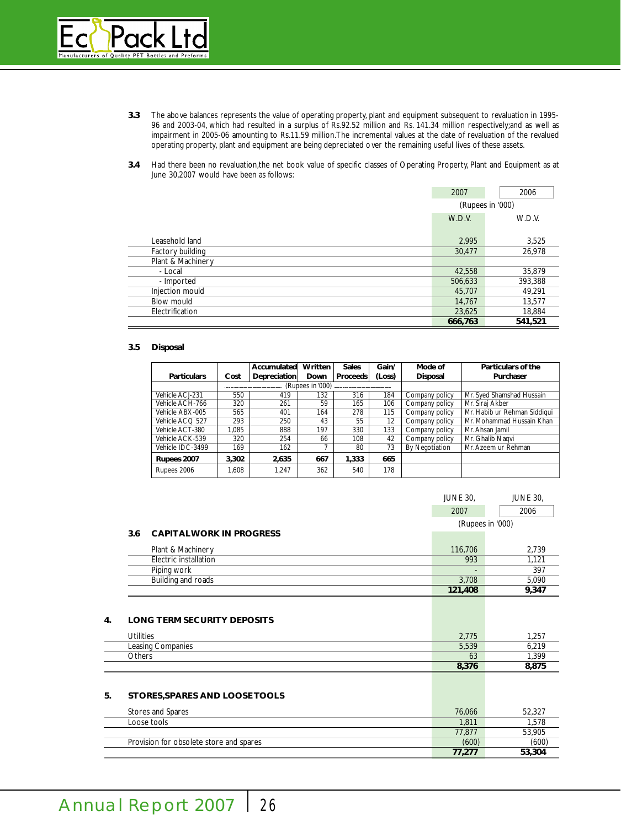

- **3.3** The above balances represents the value of operating property, plant and equipment subsequent to revaluation in 1995- 96 and 2003-04, which had resulted in a surplus of Rs.92.52 million and Rs. 141.34 million respectively;and as well as impairment in 2005-06 amounting to Rs.11.59 million.The incremental values at the date of revaluation of the revalued operating property, plant and equipment are being depreciated over the remaining useful lives of these assets.
- **3.4** Had there been no revaluation,the net book value of specific classes of Operating Property, Plant and Equipment as at June 30,2007 would have been as follows:

|                   | 2007    | 2006             |
|-------------------|---------|------------------|
|                   |         | (Rupees in '000) |
|                   | W.D.V.  | W.D.V.           |
|                   |         |                  |
| Leasehold land    | 2,995   | 3,525            |
| Factory building  | 30,477  | 26,978           |
| Plant & Machinery |         |                  |
| - Local           | 42,558  | 35,879           |
| - Imported        | 506,633 | 393,388          |
| Injection mould   | 45,707  | 49,291           |
| <b>Blow mould</b> | 14,767  | 13,577           |
| Electrification   | 23,625  | 18,884           |
|                   | 666,763 | 541,521          |

# **3.5 Disposal**

| <b>Particulars</b> | Cost  | Accumulated<br><b>Depreciation</b> | Written<br>Down  | <b>Sales</b><br><b>Proceeds</b> | Gain/<br>(Loss) | Mode of<br><b>Disposal</b> | Particulars of the<br>Purchaser |
|--------------------|-------|------------------------------------|------------------|---------------------------------|-----------------|----------------------------|---------------------------------|
|                    |       |                                    | (Rupees in '000) |                                 |                 |                            |                                 |
| Vehicle ACJ-231    | 550   | 419                                | 132              | 316                             | 184             | Company policy             | Mr. Syed Shamshad Hussain       |
| Vehicle ACH-766    | 320   | 261                                | 59               | 165                             | 106             | Company policy             | Mr. Siraj Akber                 |
| Vehicle ABX-005    | 565   | 401                                | 164              | 278                             | 115             | Company policy             | Mr. Habib ur Rehman Siddiqui    |
| Vehicle ACQ 527    | 293   | 250                                | 43               | 55                              | 12              | Company policy             | Mr. Mohammad Hussain Khan       |
| Vehicle ACT-380    | 1.085 | 888                                | 197              | 330                             | 133             | Company policy             | Mr. Ahsan Jamil                 |
| Vehicle ACK-539    | 320   | 254                                | 66               | 108                             | 42              | Company policy             | Mr. Ghalib Nagvi                |
| Vehicle IDC-3499   | 169   | 162                                |                  | 80                              | 73              | <b>By Negotiation</b>      | Mr. Azeem ur Rehman             |
| Rupees 2007        | 3,302 | 2,635                              | 667              | 1,333                           | 665             |                            |                                 |
| Rupees 2006        | 1.608 | 1.247                              | 362              | 540                             | 178             |                            |                                 |

|                                       | <b>JUNE 30,</b> | <b>JUNE 30,</b>  |
|---------------------------------------|-----------------|------------------|
|                                       | 2007            | 2006             |
|                                       |                 | (Rupees in '000) |
| <b>CAPITALWORK IN PROGRESS</b><br>3.6 |                 |                  |
| Plant & Machinery                     | 116,706         | 2,739            |
| Electric installation                 | 993             | 1.121            |
| Piping work                           |                 | 397              |
| Building and roads                    | 3,708           | 5,090            |
|                                       | 121,408         | 9,347            |
|                                       |                 |                  |

# **4. LONG TERM SECURITY DEPOSITS**

| <b>Utilities</b>  | 2,775 | ,257  |
|-------------------|-------|-------|
| Leasing Companies | 5,539 | 6,219 |
| Others            | 63    | . 399 |
|                   | 8,376 | 0.013 |

# **5. STORES,SPARES AND LOOSE TOOLS**

| Stores and Spares                       | 76,066 | 52,327 |
|-----------------------------------------|--------|--------|
| Loose tools                             | 1.811  | .578   |
|                                         | 77,877 | 53,905 |
| Provision for obsolete store and spares | (600)  | (600)  |
|                                         | 77.277 | 53,304 |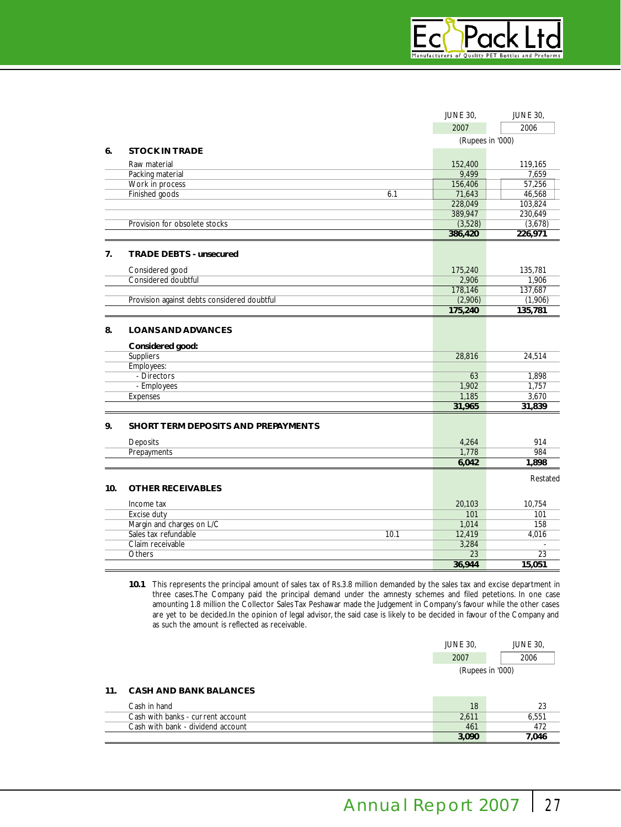

|     |                                             | <b>JUNE 30,</b>  | <b>JUNE 30,</b> |
|-----|---------------------------------------------|------------------|-----------------|
|     |                                             | 2007             | 2006            |
|     |                                             | (Rupees in '000) |                 |
| 6.  | <b>STOCK IN TRADE</b>                       |                  |                 |
|     | Raw material                                | 152,400          | 119,165         |
|     | Packing material                            | 9,499            | 7,659           |
|     | Work in process                             | 156,406          | 57,256          |
|     | Finished goods<br>6.1                       | 71,643           | 46,568          |
|     |                                             | 228,049          | 103,824         |
|     |                                             | 389,947          | 230,649         |
|     | Provision for obsolete stocks               | (3,528)          | (3,678)         |
|     |                                             | 386,420          | 226,971         |
| 7.  | <b>TRADE DEBTS - unsecured</b>              |                  |                 |
|     | Considered good                             | 175,240          | 135,781         |
|     | Considered doubtful                         | 2,906            | 1,906           |
|     |                                             | 178,146          | 137,687         |
|     | Provision against debts considered doubtful | (2,906)          | (1,906)         |
|     |                                             | 175,240          | 135,781         |
| 8.  | <b>LOANS AND ADVANCES</b>                   |                  |                 |
|     | Considered good:                            |                  |                 |
|     | Suppliers                                   | 28.816           | 24,514          |
|     | Employees:                                  |                  |                 |
|     | - Directors                                 | 63               | 1,898           |
|     | - Employees                                 | 1,902            | 1,757           |
|     | Expenses                                    | 1,185            | 3,670           |
|     |                                             | 31,965           | 31,839          |
| 9.  | SHORT TERM DEPOSITS AND PREPAYMENTS         |                  |                 |
|     | Deposits                                    | 4,264            | 914             |
|     | Prepayments                                 | 1,778            | 984             |
|     |                                             | 6,042            | 1,898           |
|     |                                             |                  | Restated        |
| 10. | <b>OTHER RECEIVABLES</b>                    |                  |                 |
|     | Income tax                                  | 20,103           | 10,754          |
|     | Excise duty                                 | 101              | 101             |
|     | Margin and charges on L/C                   | 1,014            | 158             |
|     | Sales tax refundable<br>10.1                | 12,419           | 4,016           |
|     | Claim receivable                            | 3,284            |                 |
|     | Others                                      | 23               | 23              |
|     |                                             | 36,944           | 15,051          |

**10.1** This represents the principal amount of sales tax of Rs.3.8 million demanded by the sales tax and excise department in three cases.The Company paid the principal demand under the amnesty schemes and filed petetions. In one case amounting 1.8 million the Collector Sales Tax Peshawar made the Judgement in Company's favour while the other cases are yet to be decided.In the opinion of legal advisor, the said case is likely to be decided in favour of the Company and as such the amount is reflected as receivable.

| <b>JUNE 30.</b>  | <b>JUNE 30.</b> |  |  |  |  |
|------------------|-----------------|--|--|--|--|
| 2007             | 2006            |  |  |  |  |
| (Rupees in '000) |                 |  |  |  |  |

# **11. CASH AND BANK BALANCES**

| Cash in hand                      | 18    |       |
|-----------------------------------|-------|-------|
| Cash with banks - current account | 2.611 | 6.551 |
| Cash with bank - dividend account | 461   |       |
|                                   | 3.090 | 7.046 |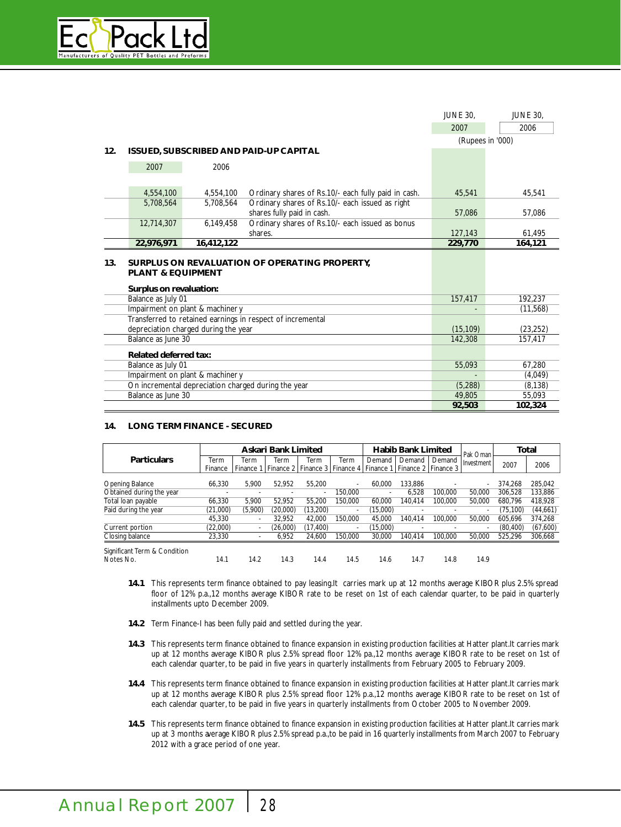

|     |                                                         |                                               |                                                            | <b>JUNE 30.</b>  | <b>JUNE 30,</b> |  |
|-----|---------------------------------------------------------|-----------------------------------------------|------------------------------------------------------------|------------------|-----------------|--|
|     |                                                         |                                               |                                                            | 2007             | 2006            |  |
|     |                                                         |                                               |                                                            | (Rupees in '000) |                 |  |
| 12. |                                                         | <b>ISSUED, SUBSCRIBED AND PAID-UP CAPITAL</b> |                                                            |                  |                 |  |
|     | 2007                                                    | 2006                                          |                                                            |                  |                 |  |
|     |                                                         |                                               |                                                            |                  |                 |  |
|     | 4,554,100                                               | 4,554,100                                     | Ordinary shares of Rs.10/- each fully paid in cash.        | 45,541           | 45,541          |  |
|     | 5,708,564                                               | 5,708,564                                     | Ordinary shares of Rs.10/- each issued as right            |                  |                 |  |
|     |                                                         |                                               | shares fully paid in cash.                                 | 57,086           | 57,086          |  |
|     | 12,714,307                                              | 6,149,458                                     | Ordinary shares of Rs.10/- each issued as bonus            |                  |                 |  |
|     |                                                         |                                               | shares.                                                    | 127,143          | 61,495          |  |
|     | 22,976,971                                              | 16,412,122                                    |                                                            | 229,770          | 164,121         |  |
| 13. | <b>PLANT &amp; EQUIPMENT</b><br>Surplus on revaluation: |                                               | SURPLUS ON REVALUATION OF OPERATING PROPERTY,              |                  |                 |  |
|     | Balance as July 01                                      |                                               |                                                            | 157,417          | 192,237         |  |
|     |                                                         | Impairment on plant & machiner y              |                                                            |                  | (11, 568)       |  |
|     |                                                         |                                               | Transferred to retained earnings in respect of incremental |                  |                 |  |
|     |                                                         | depreciation charged during the year          |                                                            | (15, 109)        | (23, 252)       |  |
|     | Balance as June 30                                      |                                               |                                                            | 142,308          | 157,417         |  |
|     | <b>Related deferred tax:</b>                            |                                               |                                                            |                  |                 |  |
|     | Balance as July 01                                      |                                               |                                                            | 55,093           | 67,280          |  |
|     |                                                         | Impairment on plant & machiner y              |                                                            |                  | (4,049)         |  |
|     |                                                         |                                               | On incremental depreciation charged during the year        | (5, 288)         | (8, 138)        |  |
|     | Balance as June 30                                      |                                               |                                                            | 49.805           | 55,093          |  |
|     |                                                         |                                               |                                                            | 92,503           | 102,324         |  |

# **14. LONG TERM FINANCE - SECURED**

|                              | Askari Bank Limited      |                          |                                                                                   |                          | <b>Habib Bank Limited</b> |          |         | Pak Oman | Total      |           |          |
|------------------------------|--------------------------|--------------------------|-----------------------------------------------------------------------------------|--------------------------|---------------------------|----------|---------|----------|------------|-----------|----------|
| <b>Particulars</b>           | Term                     | Term                     | Term                                                                              | Term                     | Term                      | Demand   | Demand  | Demand   | Investment |           |          |
|                              | Finance                  |                          | Finance 1   Finance 2   Finance 3   Finance 4   Finance 1   Finance 2   Finance 3 |                          |                           |          |         |          |            | 2007      | 2006     |
|                              |                          |                          |                                                                                   |                          |                           |          |         |          |            |           |          |
| <b>Opening Balance</b>       | 66.330                   | 5.900                    | 52.952                                                                            | 55.200                   | $\overline{\phantom{a}}$  | 60.000   | 133.886 |          |            | 374.268   | 285,042  |
| Obtained during the year     | $\overline{\phantom{a}}$ |                          |                                                                                   | $\overline{\phantom{a}}$ | 150.000                   |          | 6.528   | 100.000  | 50.000     | 306.528   | 133,886  |
| Total loan payable           | 66.330                   | 5.900                    | 52.952                                                                            | 55.200                   | 150.000                   | 60.000   | 140.414 | 100.000  | 50.000     | 680.796   | 418.928  |
| Paid during the year         | (21,000)                 | (5,900)                  | (20,000)                                                                          | (13,200)                 | $\overline{\phantom{a}}$  | (15,000) |         |          |            | (75.100)  | (44,661) |
|                              | 45.330                   | $\overline{\phantom{a}}$ | 32.952                                                                            | 42.000                   | 150.000                   | 45.000   | 140.414 | 100.000  | 50.000     | 605.696   | 374,268  |
| Current portion              | (22,000)                 |                          | (26,000)                                                                          | (17, 400)                | $\overline{\phantom{a}}$  | (15,000) |         |          |            | (80, 400) | (67,600) |
| Closing balance              | 23,330                   | $\overline{\phantom{a}}$ | 6.952                                                                             | 24.600                   | 150.000                   | 30,000   | 140.414 | 100.000  | 50.000     | 525.296   | 306,668  |
| Significant Term & Condition |                          |                          |                                                                                   |                          |                           |          |         |          |            |           |          |
| Notes No.                    | 14.1                     | 14.2                     | 14.3                                                                              | 14.4                     | 14.5                      | 14.6     | 14.7    | 14.8     | 14.9       |           |          |

- **14.1** This represents term finance obtained to pay leasing.It carries mark up at 12 months average KIBOR plus 2.5% spread floor of 12% p.a.,12 months average KIBOR rate to be reset on 1st of each calendar quarter, to be paid in quarterly installments upto December 2009.
- **14.2** Term Finance-I has been fully paid and settled during the year.
- **14.3** This represents term finance obtained to finance expansion in existing production facilities at Hatter plant.It carries mark up at 12 months average KIBOR plus 2.5% spread floor 12% pa.,12 months average KIBOR rate to be reset on 1st of each calendar quarter, to be paid in five years in quarterly installments from February 2005 to February 2009.
- **14.4** This represents term finance obtained to finance expansion in existing production facilities at Hatter plant.It carries mark up at 12 months average KIBOR plus 2.5% spread floor 12% p.a.,12 months average KIBOR rate to be reset on 1st of each calendar quarter, to be paid in five years in quarterly installments from October 2005 to November 2009.
- **14.5** This represents term finance obtained to finance expansion in existing production facilities at Hatter plant.It carries mark up at 3 months average KIBOR plus 2.5% spread p.a.,to be paid in 16 quarterly installments from March 2007 to February 2012 with a grace period of one year.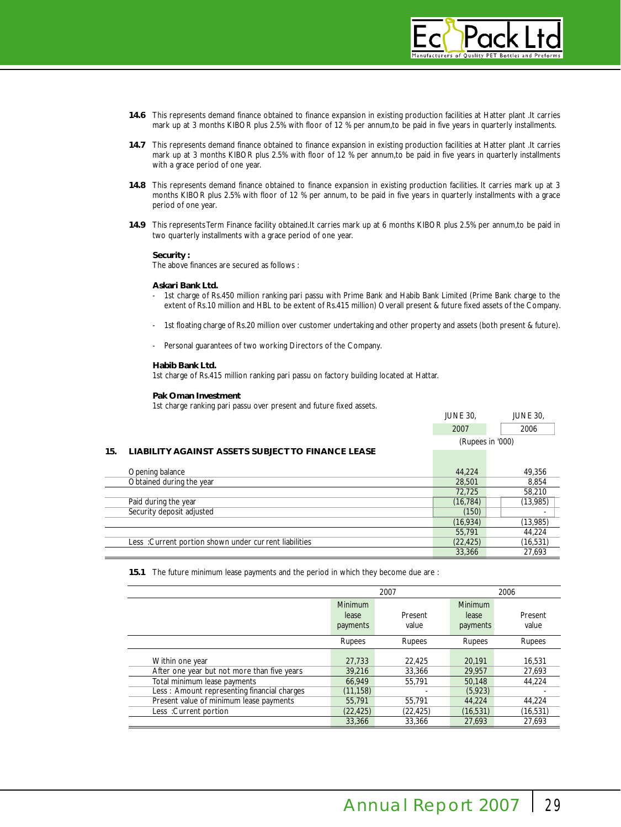

- **14.6** This represents demand finance obtained to finance expansion in existing production facilities at Hatter plant .It carries mark up at 3 months KIBOR plus 2.5% with floor of 12 % per annum,to be paid in five years in quarterly installments.
- **14.7** This represents demand finance obtained to finance expansion in existing production facilities at Hatter plant .It carries mark up at 3 months KIBOR plus 2.5% with floor of 12 % per annum,to be paid in five years in quarterly installments with a grace period of one year.
- **14.8** This represents demand finance obtained to finance expansion in existing production facilities. It carries mark up at 3 months KIBOR plus 2.5% with floor of 12 % per annum, to be paid in five years in quarterly installments with a grace period of one year.
- **14.9** This represents Term Finance facility obtained.It carries mark up at 6 months KIBOR plus 2.5% per annum,to be paid in two quarterly installments with a grace period of one year.

#### **Security :**

The above finances are secured as follows :

#### **Askari Bank Ltd.**

- 1st charge of Rs.450 million ranking pari passu with Prime Bank and Habib Bank Limited (Prime Bank charge to the extent of Rs.10 million and HBL to be extent of Rs.415 million) Overall present & future fixed assets of the Company.
- 1st floating charge of Rs.20 million over customer undertaking and other property and assets (both present & future).
- Personal guarantees of two working Directors of the Company.

#### **Habib Bank Ltd.**

1st charge of Rs.415 million ranking pari passu on factory building located at Hattar.

#### **Pak Oman Investment**

1st charge ranking pari passu over present and future fixed assets.

|     |                                                          | <b>JUNE 30.</b>  | <b>JUNE 30.</b> |           |
|-----|----------------------------------------------------------|------------------|-----------------|-----------|
|     |                                                          | 2007             | 2006            |           |
|     |                                                          | (Rupees in '000) |                 |           |
| 15. | <b>LIABILITY AGAINST ASSETS SUBJECT TO FINANCE LEASE</b> |                  |                 |           |
|     | Opening balance                                          | 44.224           |                 | 49,356    |
|     | Obtained during the year                                 | 28,501           |                 | 8.854     |
|     |                                                          | 72,725           |                 | 58,210    |
|     | Paid during the year                                     | (16, 784)        |                 | (13,985)  |
|     | Security deposit adjusted                                | (150)            |                 |           |
|     |                                                          | (16, 934)        |                 | (13,985)  |
|     |                                                          | 55,791           |                 | 44,224    |
|     | Less: Current portion shown under current liabilities    | (22, 425)        |                 | (16, 531) |
|     |                                                          | 33,366           |                 | 27,693    |

**15.1** The future minimum lease payments and the period in which they become due are :

|                                                                                                                                               |                                         | 2007                       | 2006                                   |                            |
|-----------------------------------------------------------------------------------------------------------------------------------------------|-----------------------------------------|----------------------------|----------------------------------------|----------------------------|
|                                                                                                                                               | <b>Minimum</b><br>lease<br>payments     | Present<br>value           | <b>Minimum</b><br>lease<br>payments    | Present<br>value           |
|                                                                                                                                               | Rupees                                  | Rupees                     | <b>Rupees</b>                          | Rupees                     |
| Within one year<br>After one year but not more than five years<br>Total minimum lease payments<br>Less: Amount representing financial charges | 27,733<br>39.216<br>66,949<br>(11, 158) | 22,425<br>33,366<br>55.791 | 20,191<br>29.957<br>50,148<br>(5, 923) | 16,531<br>27,693<br>44.224 |
| Present value of minimum lease payments<br>Less: Current portion                                                                              | 55,791<br>(22, 425)                     | 55.791<br>(22, 425)        | 44.224<br>(16, 531)                    | 44.224<br>(16, 531)        |
|                                                                                                                                               | 33,366                                  | 33.366                     | 27.693                                 | 27.693                     |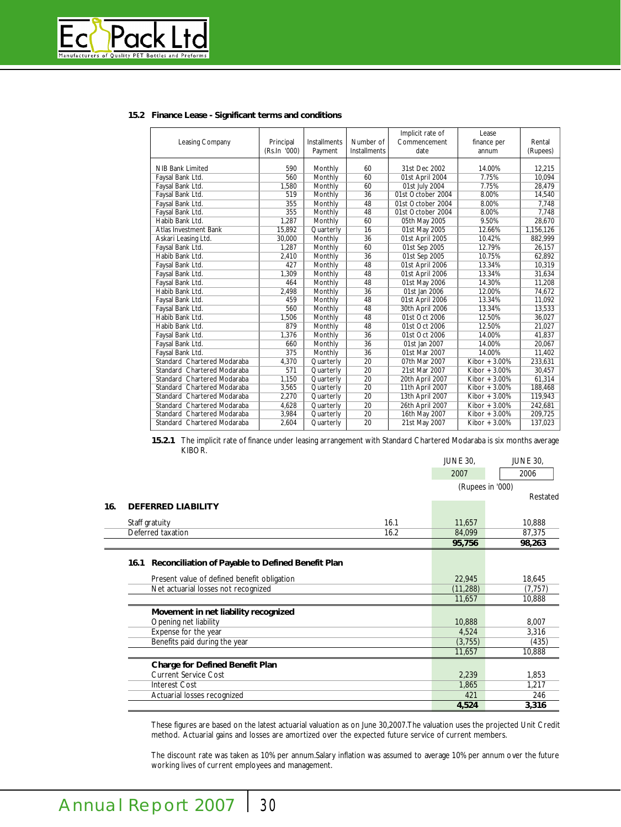

# **15.2 Finance Lease - Significant terms and conditions**

| Leasing Company              | Principal<br>(Rs.In '000) | <b>Installments</b><br>Payment | Number of<br><b>Installments</b> | Implicit rate of<br>Commencement<br>date | Lease<br>finance per<br>annum | Rental<br>(Rupees) |
|------------------------------|---------------------------|--------------------------------|----------------------------------|------------------------------------------|-------------------------------|--------------------|
| NIB Bank Limited             | 590                       | Monthly                        | 60                               | 31st Dec 2002                            | 14.00%                        | 12,215             |
| Faysal Bank Ltd.             | 560                       | Monthly                        | 60                               | 01st April 2004                          | 7.75%                         | 10,094             |
| Faysal Bank Ltd.             | 1,580                     | Monthly                        | 60                               | 01st July 2004                           | 7.75%                         | 28,479             |
| Faysal Bank Ltd.             | 519                       | Monthly                        | 36                               | 01st October 2004                        | 8.00%                         | 14,540             |
| Faysal Bank Ltd.             | 355                       | Monthly                        | 48                               | 01st October 2004                        | 8.00%                         | 7,748              |
| Faysal Bank Ltd.             | 355                       | Monthly                        | 48                               | 01st October 2004                        | 8.00%                         | 7,748              |
| Habib Bank Ltd.              | 1.287                     | Monthly                        | 60                               | 05th May 2005                            | 9.50%                         | 28,670             |
| <b>Atlas Investment Bank</b> | 15,892                    | Quarterly                      | 16                               | 01st May 2005                            | 12.66%                        | 1,156,126          |
| Askari Leasing Ltd.          | 30,000                    | Monthly                        | 36                               | 01st April 2005                          | 10.42%                        | 882,999            |
| Faysal Bank Ltd.             | 1.287                     | Monthly                        | 60                               | 01st Sep 2005                            | 12.79%                        | 26,157             |
| Habib Bank Ltd.              | 2,410                     | Monthly                        | 36                               | 01st Sep 2005                            | 10.75%                        | 62,892             |
| Faysal Bank Ltd.             | 427                       | Monthly                        | 48                               | 01st April 2006                          | 13.34%                        | 10,319             |
| Faysal Bank Ltd.             | 1,309                     | Monthly                        | 48                               | 01st April 2006                          | 13.34%                        | 31,634             |
| Faysal Bank Ltd.             | 464                       | Monthly                        | 48                               | 01st May 2006                            | 14.30%                        | 11,208             |
| Habib Bank Ltd.              | 2,498                     | Monthly                        | 36                               | 01st Jan 2006                            | 12.00%                        | 74,672             |
| Faysal Bank Ltd.             | 459                       | Monthly                        | 48                               | 01st April 2006                          | 13.34%                        | 11,092             |
| Faysal Bank Ltd.             | 560                       | Monthly                        | 48                               | 30th April 2006                          | 13.34%                        | 13,533             |
| Habib Bank Ltd.              | 1,506                     | Monthly                        | 48                               | 01st Oct 2006                            | 12.50%                        | 36,027             |
| Habib Bank Ltd.              | 879                       | Monthly                        | 48                               | 01st Oct 2006                            | 12.50%                        | 21,027             |
| Faysal Bank Ltd.             | 1,376                     | Monthly                        | 36                               | 01st Oct 2006                            | 14.00%                        | 41,837             |
| Faysal Bank Ltd.             | 660                       | Monthly                        | 36                               | 01st Jan 2007                            | 14.00%                        | 20.067             |
| Faysal Bank Ltd.             | 375                       | Monthly                        | 36                               | 01st Mar 2007                            | 14.00%                        | 11,402             |
| Standard Chartered Modaraba  | 4,370                     | Quarterly                      | 20                               | 07th Mar 2007                            | Kibor $+3.00\%$               | 233,631            |
| Standard Chartered Modaraba  | 571                       | Quarterly                      | 20                               | 21st Mar 2007                            | Kibor $+3.00\%$               | 30,457             |
| Standard Chartered Modaraba  | 1,150                     | Quarterly                      | 20                               | 20th April 2007                          | Kibor $+3.00\%$               | 61,314             |
| Standard Chartered Modaraba  | 3,565                     | Quarterly                      | 20                               | 11th April 2007                          | Kibor $+3.00\%$               | 188,468            |
| Standard Chartered Modaraba  | 2,270                     | Quarterly                      | 20                               | 13th April 2007                          | Kibor $+3.00\%$               | 119,943            |
| Standard Chartered Modaraba  | 4,628                     | Quarterly                      | 20                               | 26th April 2007                          | Kibor + 3.00%                 | 242,681            |
| Standard Chartered Modaraba  | 3,984                     | Quarterly                      | 20                               | 16th May 2007                            | Kibor $+3.00\%$               | 209,725            |
| Standard Chartered Modaraba  | 2.604                     | Quarterly                      | 20                               | 21st May 2007                            | Kibor $+3.00\%$               | 137,023            |

**15.2.1** The implicit rate of finance under leasing arrangement with Standard Chartered Modaraba is six months average KIBOR.

|     |                                                           |      | <b>JUNE 30,</b>  | <b>JUNE 30,</b> |
|-----|-----------------------------------------------------------|------|------------------|-----------------|
|     |                                                           |      | 2007             | 2006            |
|     |                                                           |      | (Rupees in '000) |                 |
|     |                                                           |      |                  | Restated        |
| 16. | <b>DEFERRED LIABILITY</b>                                 |      |                  |                 |
|     | Staff gratuity                                            | 16.1 | 11,657           | 10,888          |
|     | Deferred taxation                                         | 16.2 | 84,099           | 87,375          |
|     |                                                           |      | 95,756           | 98,263          |
|     |                                                           |      |                  |                 |
|     | Reconciliation of Payable to Defined Benefit Plan<br>16.1 |      |                  |                 |
|     | Present value of defined benefit obligation               |      | 22,945           | 18,645          |
|     | Net actuarial losses not recognized                       |      | (11, 288)        | (7, 757)        |
|     |                                                           |      | 11,657           | 10,888          |
|     | Movement in net liability recognized                      |      |                  |                 |
|     | Opening net liability                                     |      | 10,888           | 8,007           |
|     | Expense for the year                                      |      | 4,524            | 3,316           |
|     | Benefits paid during the year                             |      | (3,755)          | (435)           |
|     |                                                           |      | 11,657           | 10,888          |
|     | <b>Charge for Defined Benefit Plan</b>                    |      |                  |                 |
|     | <b>Current Service Cost</b>                               |      | 2,239            | 1,853           |
|     | <b>Interest Cost</b>                                      |      | 1,865            | 1,217           |
|     | Actuarial losses recognized                               |      | 421              | 246             |
|     |                                                           |      | 4,524            | 3,316           |

These figures are based on the latest actuarial valuation as on June 30,2007.The valuation uses the projected Unit Credit method. Actuarial gains and losses are amortized over the expected future service of current members.

The discount rate was taken as 10% per annum.Salary inflation was assumed to average 10% per annum over the future working lives of current employees and management.

 $\equiv$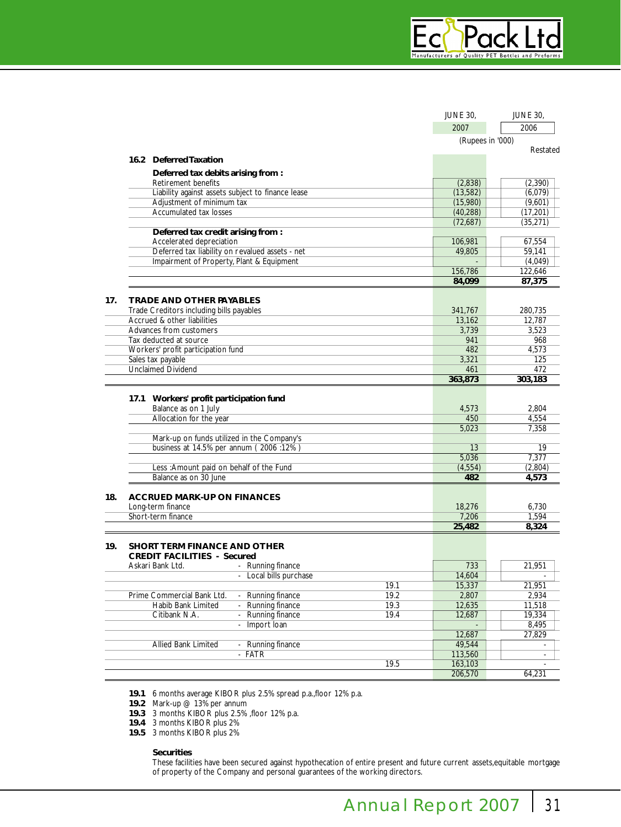|     |                                                                      | <b>JUNE 30,</b>  | <b>JUNE 30,</b>  |  |
|-----|----------------------------------------------------------------------|------------------|------------------|--|
|     |                                                                      | 2007             | 2006             |  |
|     |                                                                      | (Rupees in '000) |                  |  |
|     |                                                                      |                  | Restated         |  |
|     | 16.2 Deferred Taxation                                               |                  |                  |  |
|     | Deferred tax debits arising from:                                    |                  |                  |  |
|     | <b>Retirement benefits</b>                                           | (2,838)          | (2,390)          |  |
|     | Liability against assets subject to finance lease                    | (13,582)         | (6,079)          |  |
|     | Adjustment of minimum tax                                            | (15,980)         | (9,601)          |  |
|     | <b>Accumulated tax losses</b>                                        | (40, 288)        | (17, 201)        |  |
|     |                                                                      | (72,687)         | (35, 271)        |  |
|     | Deferred tax credit arising from :                                   |                  |                  |  |
|     | Accelerated depreciation                                             | 106,981          | 67,554           |  |
|     | Deferred tax liability on revalued assets - net                      | 49,805           | 59,141           |  |
|     | Impairment of Property, Plant & Equipment                            |                  | (4,049)          |  |
|     |                                                                      | 156,786          | 122,646          |  |
|     |                                                                      | 84,099           | 87,375           |  |
| 17. | <b>TRADE AND OTHER PAYABLES</b>                                      |                  |                  |  |
|     | Trade Creditors including bills payables                             | 341,767          | 280,735          |  |
|     | Accrued & other liabilities                                          | 13,162           | 12,787           |  |
|     | Advances from customers                                              | 3,739            | 3,523            |  |
|     | Tax deducted at source                                               | 941              | 968              |  |
|     | Workers' profit participation fund                                   | 482              | 4,573            |  |
|     | Sales tax payable                                                    | 3,321            | 125              |  |
|     | <b>Unclaimed Dividend</b>                                            | 461              | 472              |  |
|     |                                                                      | 363,873          | 303,183          |  |
|     |                                                                      |                  |                  |  |
|     | 17.1 Workers' profit participation fund                              |                  |                  |  |
|     | Balance as on 1 July                                                 | 4,573            | 2,804            |  |
|     | Allocation for the year                                              | 450              | 4,554            |  |
|     |                                                                      | 5,023            | 7,358            |  |
|     | Mark-up on funds utilized in the Company's                           |                  |                  |  |
|     | business at 14.5% per annum (2006:12%)                               | 13               | 19               |  |
|     |                                                                      | 5,036            | 7,377            |  |
|     | Less : Amount paid on behalf of the Fund<br>Balance as on 30 June    | (4, 554)<br>482  | (2,804)<br>4,573 |  |
|     |                                                                      |                  |                  |  |
| 18. | <b>ACCRUED MARK-UP ON FINANCES</b>                                   |                  |                  |  |
|     | Long-term finance                                                    | 18,276           | 6,730            |  |
|     | Short-term finance                                                   | 7,206            | 1,594            |  |
|     |                                                                      | 25,482           | 8,324            |  |
|     |                                                                      |                  |                  |  |
| 19. | <b>SHORT TERM FINANCE AND OTHER</b>                                  |                  |                  |  |
|     | <b>CREDIT FACILITIES - Secured</b>                                   |                  |                  |  |
|     | Askari Bank Ltd.<br>- Running finance                                | 733              | 21,951           |  |
|     | - Local bills purchase                                               | 14,604           |                  |  |
|     | 19.1                                                                 | 15,337           | 21,951           |  |
|     | Prime Commercial Bank Ltd.<br>19.2<br>Running finance                | 2,807            | 2,934            |  |
|     | 19.3<br>Habib Bank Limited<br>Running finance<br>÷,                  | 12,635           | 11,518           |  |
|     | 19.4<br>Citibank N.A.<br>Running finance<br>$\overline{\phantom{a}}$ | 12,687           | 19,334           |  |
|     | Import Ioan                                                          |                  | 8,495            |  |
|     |                                                                      | 12,687           | 27,829           |  |
|     | <b>Allied Bank Limited</b><br>Running finance                        | 49,544           |                  |  |
|     | <b>FATR</b><br>ä,                                                    | 113,560          |                  |  |
|     | 19.5                                                                 | 163,103          |                  |  |
|     |                                                                      | 206,570          | 64,231           |  |

**19.1** 6 months average KIBOR plus 2.5% spread p.a.,floor 12% p.a.

**19.2** Mark-up @ 13% per annum

**19.3** 3 months KIBOR plus 2.5% ,floor 12% p.a.

**19.4** 3 months KIBOR plus 2%

**19.5** 3 months KIBOR plus 2%

# **Securities**

These facilities have been secured against hypothecation of entire present and future current assets,equitable mortgage of property of the Company and personal guarantees of the working directors.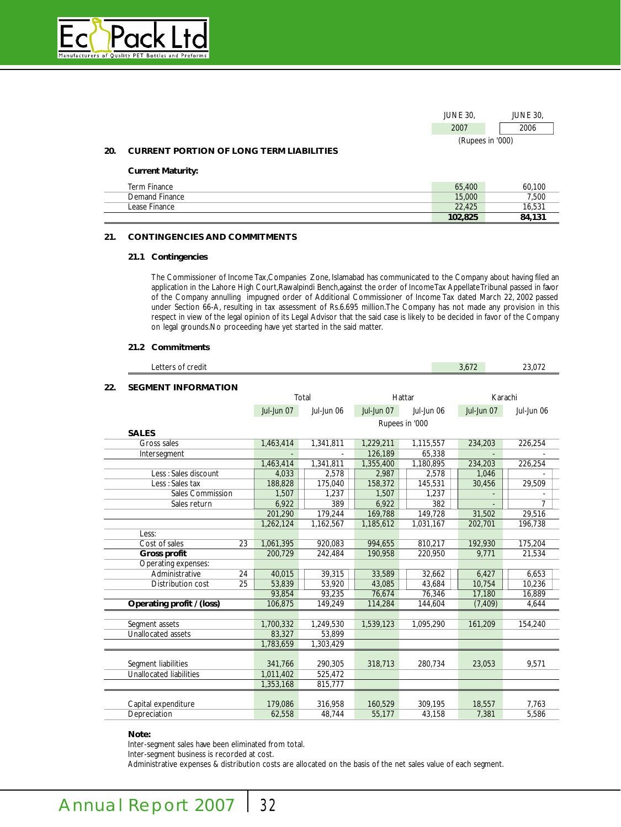

| <b>JUNE 30.</b>  | <b>JUNE 30.</b> |
|------------------|-----------------|
| 2007             | 2006            |
| (Rupees in '000) |                 |

#### **20. CURRENT PORTION OF LONG TERM LIABILITIES**

#### **Current Maturity:**

| Term Finance   | 65,400  | 60.100 |
|----------------|---------|--------|
| Demand Finance | 15,000  | 7.500  |
| Lease Finance  | 22.425  | 16.531 |
|                | 102,825 | 84,131 |

#### **21. CONTINGENCIES AND COMMITMENTS**

### **21.1 Contingencies**

The Commissioner of Income Tax,Companies Zone, Islamabad has communicated to the Company about having filed an application in the Lahore High Court,Rawalpindi Bench,against the order of Income Tax Appellate Tribunal passed in favor of the Company annulling impugned order of Additional Commissioner of Income Tax dated March 22, 2002 passed under Section 66-A, resulting in tax assessment of Rs.6.695 million.The Company has not made any provision in this respect in view of the legal opinion of its Legal Advisor that the said case is likely to be decided in favor of the Company on legal grounds.No proceeding have yet started in the said matter.

#### **21.2 Commitments**

|     | Letters of credit              |            |            |            |                | 3.672      | 23,072     |
|-----|--------------------------------|------------|------------|------------|----------------|------------|------------|
| 22. | <b>SEGMENT INFORMATION</b>     |            |            |            |                |            |            |
|     |                                |            | Total      |            | Hattar         |            | Karachi    |
|     |                                | Jul-Jun 07 | Jul-Jun 06 | Jul-Jun 07 | Jul-Jun 06     | Jul-Jun 07 | Jul-Jun 06 |
|     |                                |            |            |            | Rupees in '000 |            |            |
|     | <b>SALES</b>                   |            |            |            |                |            |            |
|     | Gross sales                    | 1,463,414  | 1,341,811  | 1,229,211  | 1,115,557      | 234,203    | 226,254    |
|     | Intersegment                   |            |            | 126,189    | 65,338         |            |            |
|     |                                | 1,463,414  | 1,341,811  | 1,355,400  | 1,180,895      | 234.203    | 226.254    |
|     | Less : Sales discount          | 4,033      | 2,578      | 2,987      | 2,578          | 1,046      |            |
|     | Less : Sales tax               | 188,828    | 175,040    | 158,372    | 145,531        | 30,456     | 29,509     |
|     | <b>Sales Commission</b>        | 1,507      | 1,237      | 1,507      | 1,237          |            |            |
|     | Sales return                   | 6,922      | 389        | 6,922      | 382            |            | 7          |
|     |                                | 201,290    | 179,244    | 169,788    | 149,728        | 31,502     | 29,516     |
|     |                                | 1,262,124  | 1,162,567  | 1,185,612  | 1,031,167      | 202,701    | 196,738    |
|     | Less:                          |            |            |            |                |            |            |
|     | Cost of sales<br>23            | 1,061,395  | 920,083    | 994,655    | 810,217        | 192,930    | 175,204    |
|     | <b>Gross profit</b>            | 200.729    | 242.484    | 190.958    | 220.950        | 9.771      | 21,534     |
|     | Operating expenses:            |            |            |            |                |            |            |
|     | Administrative<br>24           | 40,015     | 39,315     | 33,589     | 32,662         | 6,427      | 6,653      |
|     | 25<br>Distribution cost        | 53,839     | 53,920     | 43,085     | 43,684         | 10,754     | 10.236     |
|     |                                | 93,854     | 93.235     | 76,674     | 76,346         | 17,180     | 16,889     |
|     | Operating profit / (loss)      | 106,875    | 149.249    | 114,284    | 144,604        | (7, 409)   | 4.644      |
|     |                                |            |            |            |                |            |            |
|     | Segment assets                 | 1,700,332  | 1,249,530  | 1,539,123  | 1.095.290      | 161,209    | 154,240    |
|     | <b>Unallocated assets</b>      | 83,327     | 53,899     |            |                |            |            |
|     |                                | 1,783,659  | 1,303,429  |            |                |            |            |
|     |                                |            |            |            |                |            |            |
|     | Segment liabilities            | 341,766    | 290,305    | 318,713    | 280.734        | 23,053     | 9,571      |
|     | <b>Unallocated liabilities</b> | 1,011,402  | 525,472    |            |                |            |            |
|     |                                | 1,353,168  | 815,777    |            |                |            |            |
|     |                                |            |            |            |                |            |            |
|     | Capital expenditure            | 179,086    | 316,958    | 160,529    | 309,195        | 18,557     | 7.763      |
|     | Depreciation                   | 62,558     | 48,744     | 55,177     | 43,158         | 7,381      | 5,586      |

# **Note:**

Inter-segment sales have been eliminated from total.

Inter-segment business is recorded at cost.

Administrative expenses & distribution costs are allocated on the basis of the net sales value of each segment.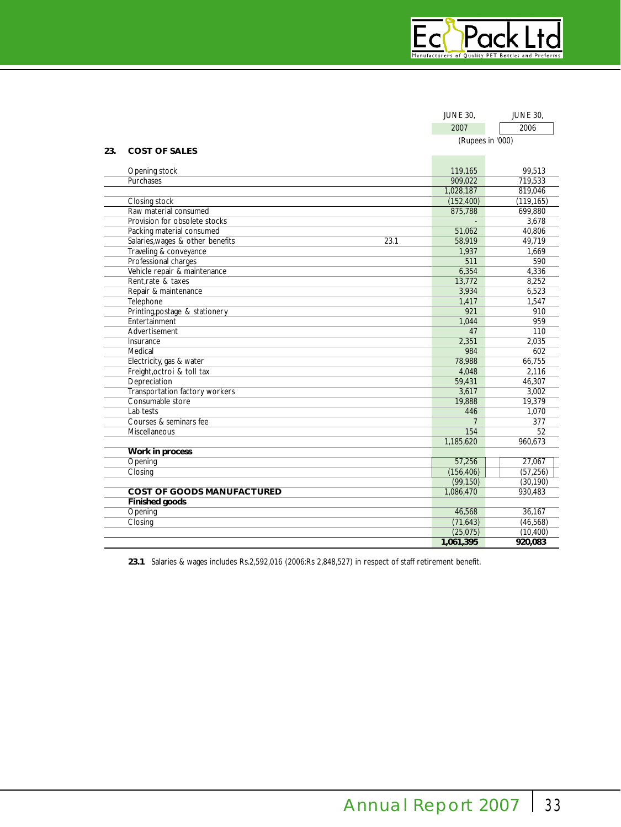|     |                                          | <b>JUNE 30,</b>  | <b>JUNE 30,</b> |
|-----|------------------------------------------|------------------|-----------------|
|     |                                          | 2007             | 2006            |
|     |                                          | (Rupees in '000) |                 |
| 23. | <b>COST OF SALES</b>                     |                  |                 |
|     |                                          |                  |                 |
|     | Opening stock                            | 119,165          | 99,513          |
|     | Purchases                                | 909,022          | 719,533         |
|     |                                          | 1,028,187        | 819,046         |
|     | Closing stock                            | (152, 400)       | (119, 165)      |
|     | Raw material consumed                    | 875,788          | 699.880         |
|     | Provision for obsolete stocks            |                  | 3,678           |
|     | Packing material consumed                | 51,062           | 40,806          |
|     | Salaries, wages & other benefits<br>23.1 | 58,919           | 49,719          |
|     | Traveling & conveyance                   | 1,937            | 1.669           |
|     | Professional charges                     | 511              | 590             |
|     | Vehicle repair & maintenance             | 6,354            | 4,336           |
|     | Rent.rate & taxes                        | 13,772           | 8,252           |
|     | Repair & maintenance                     | 3,934            | 6,523           |
|     | Telephone                                | 1,417            | 1,547           |
|     | Printing, postage & stationery           | 921              | 910             |
|     | Entertainment                            | 1.044            | 959             |
|     | Advertisement                            | 47               | 110             |
|     | Insurance                                | 2,351            | 2,035           |
|     | Medical                                  | 984              | 602             |
|     | Electricity, gas & water                 | 78,988           | 66,755          |
|     | Freight, octroi & toll tax               | 4,048            | 2,116           |
|     | Depreciation                             | 59,431           | 46,307          |
|     | Transportation factory workers           | 3,617            | 3,002           |
|     | Consumable store                         | 19,888           | 19,379          |
|     | Lab tests                                | 446              | 1,070           |
|     | Courses & seminars fee                   | 7                | 377             |
|     | Miscellaneous                            | 154              | 52              |
|     |                                          | 1.185.620        | 960.673         |
|     | Work in process                          |                  |                 |
|     | Opening                                  | 57,256           | 27,067          |
|     | Closing                                  | (156, 406)       | (57, 256)       |
|     |                                          | (99, 150)        | (30, 190)       |
|     | <b>COST OF GOODS MANUFACTURED</b>        | 1,086,470        | 930,483         |
|     | <b>Finished goods</b>                    |                  |                 |
|     | Opening                                  | 46,568           | 36,167          |
|     | Closing                                  | (71, 643)        | (46, 568)       |
|     |                                          | (25,075)         | (10, 400)       |
|     |                                          | 1,061,395        | 920,083         |

**23.1** Salaries & wages includes Rs.2,592,016 (2006:Rs 2,848,527) in respect of staff retirement benefit.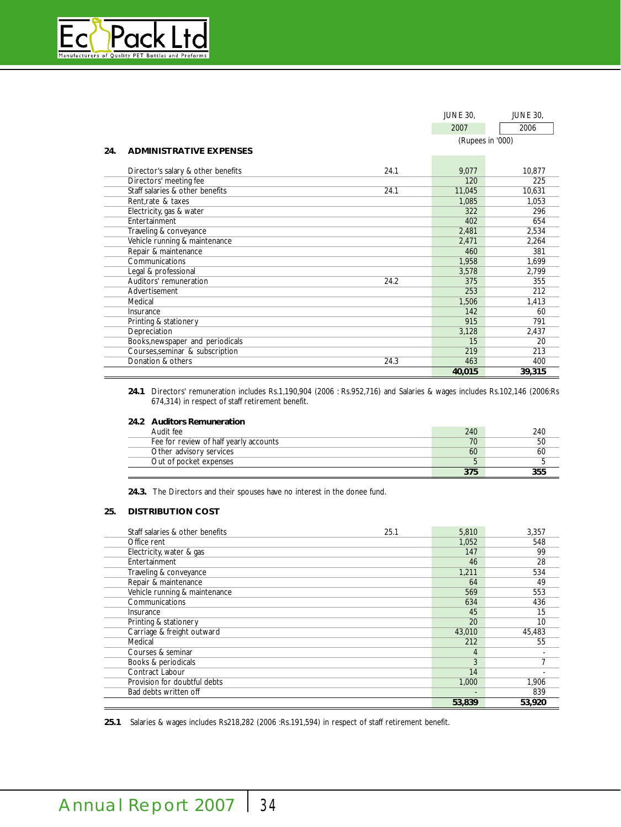

|     |                                    |      | <b>JUNE 30,</b>  | <b>JUNE 30,</b> |
|-----|------------------------------------|------|------------------|-----------------|
|     |                                    |      | 2007             | 2006            |
|     |                                    |      | (Rupees in '000) |                 |
| 24. | <b>ADMINISTRATIVE EXPENSES</b>     |      |                  |                 |
|     |                                    |      |                  |                 |
|     | Director's salary & other benefits | 24.1 | 9,077            | 10.877          |
|     | Directors' meeting fee             |      | 120              | 225             |
|     | Staff salaries & other benefits    | 24.1 | 11,045           | 10,631          |
|     | Rent, rate & taxes                 |      | 1,085            | 1,053           |
|     | Electricity, gas & water           |      | 322              | 296             |
|     | Entertainment                      |      | 402              | 654             |
|     | Traveling & conveyance             |      | 2,481            | 2,534           |
|     | Vehicle running & maintenance      |      | 2,471            | 2,264           |
|     | Repair & maintenance               |      | 460              | 381             |
|     | Communications                     |      | 1,958            | 1,699           |
|     | Legal & professional               |      | 3,578            | 2,799           |
|     | Auditors' remuneration             | 24.2 | 375              | 355             |
|     | Advertisement                      |      | 253              | 212             |
|     | Medical                            |      | 1,506            | 1,413           |
|     | Insurance                          |      | 142              | 60              |
|     | Printing & stationery              |      | 915              | 791             |
|     | Depreciation                       |      | 3,128            | 2,437           |
|     | Books, newspaper and periodicals   |      | 15               | 20              |
|     | Courses, seminar & subscription    |      | 219              | 213             |
|     | Donation & others                  | 24.3 | 463              | 400             |
|     |                                    |      | 40,015           | 39,315          |

**24.1** Directors' remuneration includes Rs.1,190,904 (2006 : Rs.952,716) and Salaries & wages includes Rs.102,146 (2006:Rs 674,314) in respect of staff retirement benefit.

# **24.2 Auditors Remuneration**

| Audit fee                              | 240 | 240 |
|----------------------------------------|-----|-----|
| Fee for review of half yearly accounts | 70  | 50  |
| Other advisory services                | 60  | 60  |
| Out of pocket expenses                 | ь   |     |
|                                        | 375 | 255 |

**24.3.** The Directors and their spouses have no interest in the donee fund.

# **25. DISTRIBUTION COST**

| Staff salaries & other benefits | 25.1 | 5,810  | 3,357                    |
|---------------------------------|------|--------|--------------------------|
| Office rent                     |      | 1,052  | 548                      |
| Electricity, water & gas        |      | 147    | 99                       |
| Entertainment                   |      | 46     | 28                       |
| Traveling & conveyance          |      | 1.211  | 534                      |
| Repair & maintenance            |      | 64     | 49                       |
| Vehicle running & maintenance   |      | 569    | 553                      |
| Communications                  |      | 634    | 436                      |
| Insurance                       |      | 45     | 15                       |
| Printing & stationery           |      | 20     | 10                       |
| Carriage & freight outward      |      | 43,010 | 45,483                   |
| Medical                         |      | 212    | 55                       |
| Courses & seminar               |      | 4      | $\overline{\phantom{0}}$ |
| Books & periodicals             |      | 3      | 7                        |
| Contract Labour                 |      | 14     |                          |
| Provision for doubtful debts    |      | 1.000  | 1.906                    |
| Bad debts written off           |      |        | 839                      |
|                                 |      | 53,839 | 53,920                   |

**25.1** Salaries & wages includes Rs218,282 (2006 :Rs.191,594) in respect of staff retirement benefit.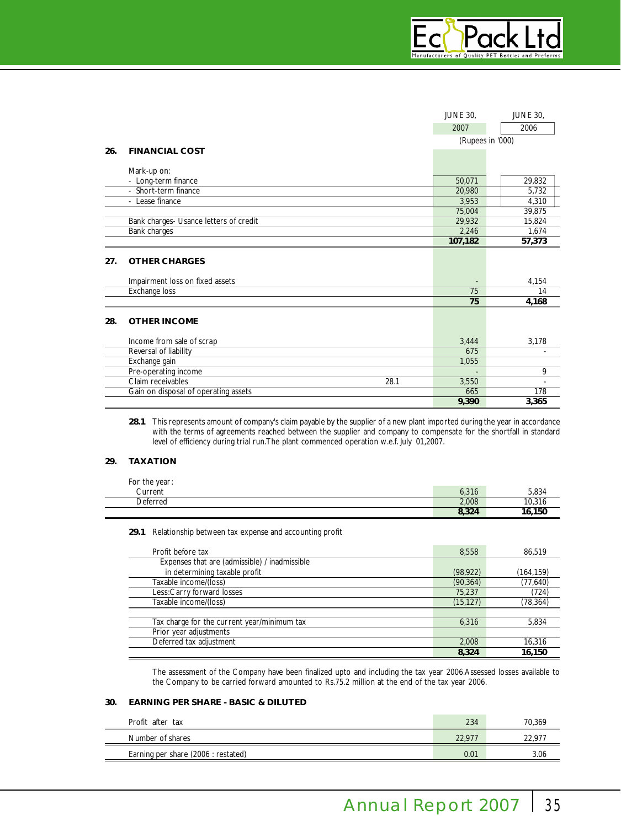|     |                                        | <b>JUNE 30,</b>  | <b>JUNE 30,</b> |
|-----|----------------------------------------|------------------|-----------------|
|     |                                        | 2007             | 2006            |
|     |                                        | (Rupees in '000) |                 |
| 26. | <b>FINANCIAL COST</b>                  |                  |                 |
|     | Mark-up on:                            |                  |                 |
|     | - Long-term finance                    | 50,071           | 29,832          |
|     | - Short-term finance                   | 20,980           | 5,732           |
|     | - Lease finance                        | 3,953            | 4,310           |
|     |                                        | 75,004           | 39,875          |
|     | Bank charges- Usance letters of credit | 29,932           | 15,824          |
|     | Bank charges                           | 2,246            | 1,674           |
|     |                                        | 107,182          | 57,373          |
| 27. | <b>OTHER CHARGES</b>                   |                  |                 |
|     | Impairment loss on fixed assets        |                  | 4,154           |
|     | <b>Exchange loss</b>                   | 75               | 14              |
|     |                                        | 75               | 4,168           |
| 28. | <b>OTHER INCOME</b>                    |                  |                 |
|     | Income from sale of scrap              | 3,444            | 3,178           |
|     | Reversal of liability                  | 675              |                 |
|     | Exchange gain                          | 1,055            |                 |
|     | Pre-operating income                   |                  | 9               |
|     | Claim receivables<br>28.1              | 3,550            |                 |
|     | Gain on disposal of operating assets   | 665              | 178             |
|     |                                        | 9.390            | 3,365           |

**28.1** This represents amount of company's claim payable by the supplier of a new plant imported during the year in accordance with the terms of agreements reached between the supplier and company to compensate for the shortfall in standard level of efficiency during trial run.The plant commenced operation w.e.f. July 01,2007.

# **29. TAXATION**

| For the year: |       |        |
|---------------|-------|--------|
| Current       | 6,316 | 5,834  |
| Deferred      | 2.008 | 10.316 |
|               | 8,324 | 16,150 |

**29.1** Relationship between tax expense and accounting profit

| Profit before tax                             | 8,558     | 86.519     |
|-----------------------------------------------|-----------|------------|
| Expenses that are (admissible) / inadmissible |           |            |
| in determining taxable profit                 | (98, 922) | (164, 159) |
| Taxable income/(loss)                         | (90, 364) | (77, 640)  |
| Less:Carry forward losses                     | 75.237    | (724)      |
| Taxable income/(loss)                         | (15, 127) | (78, 364)  |
|                                               |           |            |
| Tax charge for the current year/minimum tax   | 6.316     | 5,834      |
| Prior year adjustments                        |           |            |
| Deferred tax adjustment                       | 2,008     | 16,316     |
|                                               | 8,324     | 16,150     |

The assessment of the Company have been finalized upto and including the tax year 2006.Assessed losses available to the Company to be carried forward amounted to Rs.75.2 million at the end of the tax year 2006.

# **30. EARNING PER SHARE - BASIC & DILUTED**

| Profit after tax                    | 234    | 70.369 |
|-------------------------------------|--------|--------|
| Number of shares                    | 22.977 | 22.97  |
| Earning per share (2006 : restated) | 0.01   | 3.06   |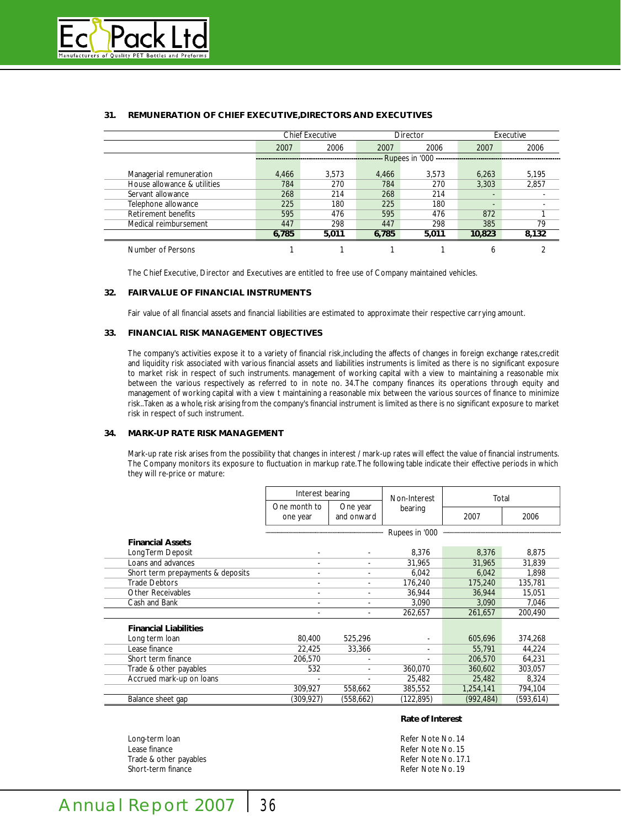

|                             |       | <b>Chief Executive</b> |       | Director       |        | Executive |
|-----------------------------|-------|------------------------|-------|----------------|--------|-----------|
|                             | 2007  | 2006                   | 2007  | 2006           | 2007   | 2006      |
|                             |       |                        |       | Rupees in '000 |        |           |
| Managerial remuneration     | 4.466 | 3.573                  | 4.466 | 3.573          | 6.263  | 5,195     |
| House allowance & utilities | 784   | 270                    | 784   | 270            | 3.303  | 2,857     |
| Servant allowance           | 268   | 214                    | 268   | 214            |        |           |
| Telephone allowance         | 225   | 180                    | 225   | 180            |        |           |
| Retirement benefits         | 595   | 476                    | 595   | 476            | 872    |           |
| Medical reimbursement       | 447   | 298                    | 447   | 298            | 385    | 79        |
|                             | 6,785 | 5,011                  | 6.785 | 5,011          | 10,823 | 8,132     |
| Number of Persons           |       |                        |       |                | 6      |           |

# **31. REMUNERATION OF CHIEF EXECUTIVE,DIRECTORS AND EXECUTIVES**

The Chief Executive, Director and Executives are entitled to free use of Company maintained vehicles.

# **32. FAIR VALUE OF FINANCIAL INSTRUMENTS**

Fair value of all financial assets and financial liabilities are estimated to approximate their respective carrying amount.

# **33. FINANCIAL RISK MANAGEMENT OBJECTIVES**

The company's activities expose it to a variety of financial risk,including the affects of changes in foreign exchange rates,credit and liquidity risk associated with various financial assets and liabilities instruments is limited as there is no significant exposure to market risk in respect of such instruments. management of working capital with a view to maintaining a reasonable mix between the various respectively as referred to in note no. 34.The company finances its operations through equity and management of working capital with a view t maintaining a reasonable mix between the various sources of finance to minimize risk..Taken as a whole,risk arising from the company's financial instrument is limited as there is no significant exposure to market risk in respect of such instrument.

# **34. MARK-UP RATE RISK MANAGEMENT**

Mark-up rate risk arises from the possibility that changes in interest / mark-up rates will effect the value of financial instruments. The Company monitors its exposure to fluctuation in markup rate.The following table indicate their effective periods in which they will re-price or mature:

|                                   | Interest bearing         |                          | Non-Interest   | Total      |           |
|-----------------------------------|--------------------------|--------------------------|----------------|------------|-----------|
|                                   | One month to<br>one year | One year<br>and onward   | bearing        | 2007       | 2006      |
|                                   |                          |                          | Rupees in '000 |            |           |
| <b>Financial Assets</b>           |                          |                          |                |            |           |
| Long Term Deposit                 |                          |                          | 8,376          | 8,376      | 8,875     |
| Loans and advances                |                          |                          | 31,965         | 31,965     | 31,839    |
| Short term prepayments & deposits |                          |                          | 6,042          | 6,042      | 1,898     |
| <b>Trade Debtors</b>              |                          |                          | 176.240        | 175,240    | 135,781   |
| <b>Other Receivables</b>          |                          | $\overline{\phantom{a}}$ | 36,944         | 36,944     | 15,051    |
| Cash and Bank                     |                          |                          | 3,090          | 3,090      | 7,046     |
|                                   |                          |                          | 262,657        | 261,657    | 200,490   |
| <b>Financial Liabilities</b>      |                          |                          |                |            |           |
| Long term loan                    | 80.400                   | 525.296                  |                | 605,696    | 374.268   |
| Lease finance                     | 22,425                   | 33,366                   |                | 55,791     | 44,224    |
| Short term finance                | 206.570                  |                          |                | 206,570    | 64,231    |
| Trade & other payables            | 532                      | $\overline{\phantom{a}}$ | 360,070        | 360,602    | 303,057   |
| Accrued mark-up on loans          |                          |                          | 25,482         | 25,482     | 8.324     |
|                                   | 309,927                  | 558,662                  | 385,552        | 1,254,141  | 794,104   |
| Balance sheet gap                 | (309,927)                | (558, 662)               | (122,895)      | (992, 484) | (593,614) |

Long-term loan and the state of the state of the Refer Note No. 14 Lease finance<br>
Trade & other pavables<br>
Trade & other pavables<br>
Refer Note No. 17.1 Trade & other payables<br>Short-term finance

#### **Rate of Interest**

Refer Note No. 19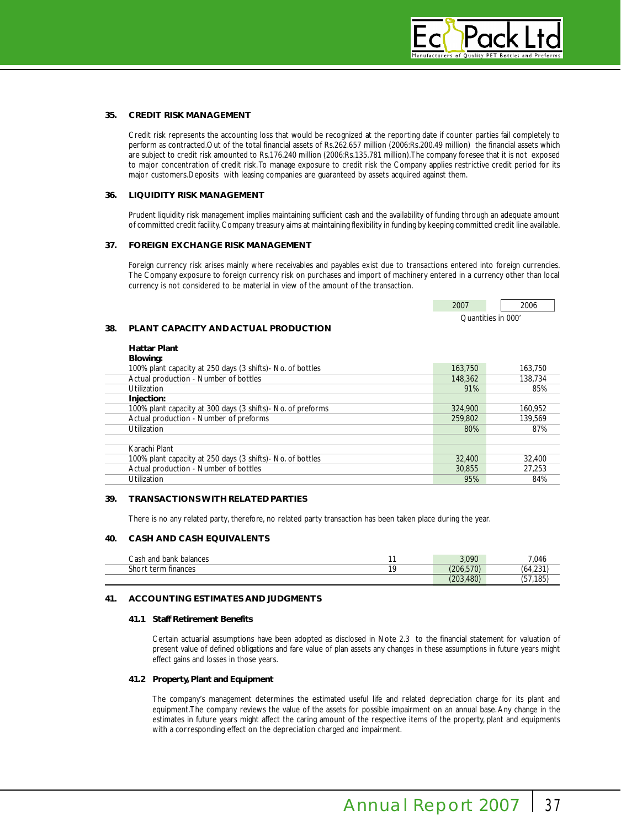# **35. CREDIT RISK MANAGEMENT**

Credit risk represents the accounting loss that would be recognized at the reporting date if counter parties fail completely to perform as contracted.Out of the total financial assets of Rs.262.657 million (2006:Rs.200.49 million) the financial assets which are subject to credit risk amounted to Rs.176.240 million (2006:Rs.135.781 million).The company foresee that it is not exposed to major concentration of credit risk.To manage exposure to credit risk the Company applies restrictive credit period for its major customers.Deposits with leasing companies are guaranteed by assets acquired against them.

#### **36. LIQUIDITY RISK MANAGEMENT**

Prudent liquidity risk management implies maintaining sufficient cash and the availability of funding through an adequate amount of committed credit facility. Company treasury aims at maintaining flexibility in funding by keeping committed credit line available.

### **37. FOREIGN EXCHANGE RISK MANAGEMENT**

Foreign currency risk arises mainly where receivables and payables exist due to transactions entered into foreign currencies. The Company exposure to foreign currency risk on purchases and import of machinery entered in a currency other than local currency is not considered to be material in view of the amount of the transaction.

| 2006               |
|--------------------|
| Juantities in 000' |

# **38. PLANT CAPACITY AND ACTUAL PRODUCTION**

| 163,750 | 163.750 |
|---------|---------|
| 148,362 | 138.734 |
| 91%     | 85%     |
|         |         |
| 324,900 | 160.952 |
| 259,802 | 139.569 |
| 80%     | 87%     |
|         |         |
|         |         |
| 32,400  | 32,400  |
| 30.855  | 27.253  |
| 95%     | 84%     |
|         |         |

### **39. TRANSACTIONS WITH RELATED PARTIES**

There is no any related party, therefore, no related party transaction has been taken place during the year.

### **40. CASH AND CASH EQUIVALENTS**

| Cash<br>and bank<br>balances | 3.090                             | 7,046         |
|------------------------------|-----------------------------------|---------------|
| shor<br>finances<br>term     | (206.570)                         | 0.04<br>04.Z3 |
|                              | .480 <sup>\</sup><br>ימר′<br>ZUJ. | 185<br>، ت    |

## **41. ACCOUNTING ESTIMATES AND JUDGMENTS**

#### **41.1 Staff Retirement Benefits**

Certain actuarial assumptions have been adopted as disclosed in Note 2.3 to the financial statement for valuation of present value of defined obligations and fare value of plan assets any changes in these assumptions in future years might effect gains and losses in those years.

#### **41.2 Property, Plant and Equipment**

The company's management determines the estimated useful life and related depreciation charge for its plant and equipment.The company reviews the value of the assets for possible impairment on an annual base.Any change in the estimates in future years might affect the caring amount of the respective items of the property, plant and equipments with a corresponding effect on the depreciation charged and impairment.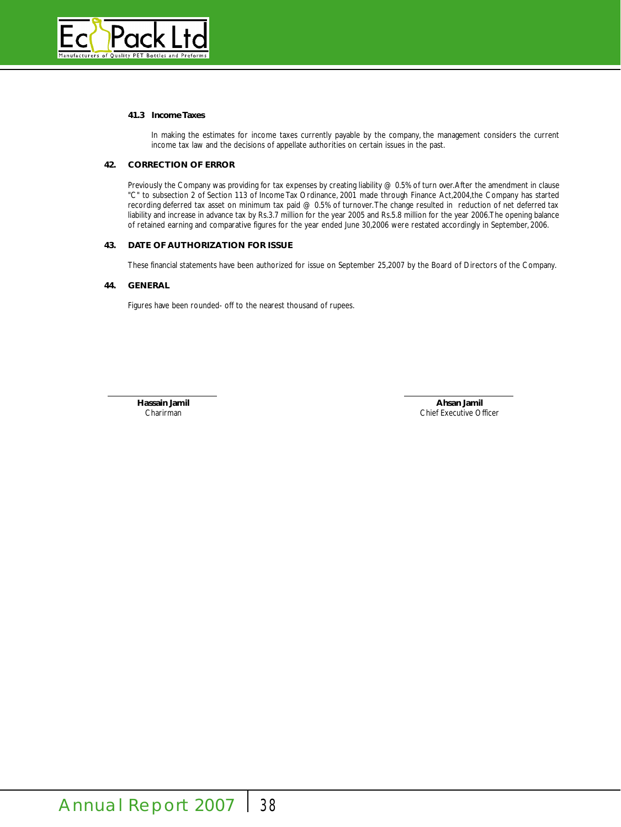

# **41.3 Income Taxes**

In making the estimates for income taxes currently payable by the company, the management considers the current income tax law and the decisions of appellate authorities on certain issues in the past.

# **42. CORRECTION OF ERROR**

Previously the Company was providing for tax expenses by creating liability  $@0.5\%$  of turn over. After the amendment in clause "C" to subsection 2 of Section 113 of Income Tax Ordinance, 2001 made through Finance Act,2004,the Company has started recording deferred tax asset on minimum tax paid @ 0.5% of turnover.The change resulted in reduction of net deferred tax liability and increase in advance tax by Rs.3.7 million for the year 2005 and Rs.5.8 million for the year 2006.The opening balance of retained earning and comparative figures for the year ended June 30,2006 were restated accordingly in September, 2006.

# **43. DATE OF AUTHORIZATION FOR ISSUE**

These financial statements have been authorized for issue on September 25,2007 by the Board of Directors of the Company.

# **44. GENERAL**

Figures have been rounded- off to the nearest thousand of rupees.

**Hassain Jamil Ahsan Jamil**

Charirman Chief Executive Officer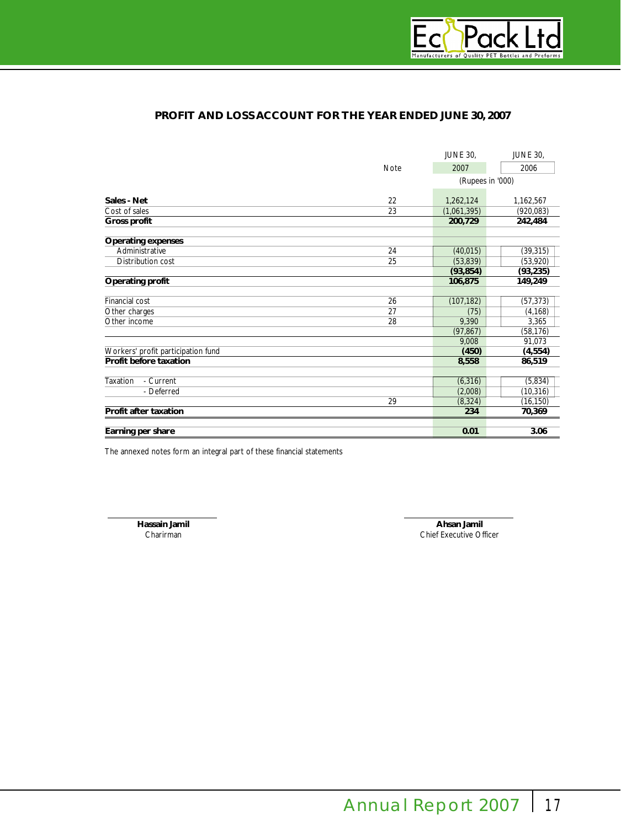

# **PROFIT AND LOSS ACCOUNT FOR THE YEAR ENDED JUNE 30, 2007**

|                                    |             | <b>JUNE 30,</b>  | <b>JUNE 30,</b> |
|------------------------------------|-------------|------------------|-----------------|
|                                    | <b>Note</b> | 2007             | 2006            |
|                                    |             | (Rupees in '000) |                 |
| Sales - Net                        | 22          | 1,262,124        | 1,162,567       |
| Cost of sales                      | 23          | (1,061,395)      | (920, 083)      |
| <b>Gross profit</b>                |             | 200,729          | 242,484         |
| <b>Operating expenses</b>          |             |                  |                 |
| Administrative                     | 24          | (40, 015)        | (39, 315)       |
| Distribution cost                  | 25          | (53, 839)        | (53,920)        |
|                                    |             | (93, 854)        | (93, 235)       |
| Operating profit                   |             | 106,875          | 149,249         |
|                                    |             |                  |                 |
| Financial cost                     | 26          | (107, 182)       | (57, 373)       |
| Other charges                      | 27          | (75)             | (4, 168)        |
| Other income                       | 28          | 9,390            | 3,365           |
|                                    |             | (97, 867)        | (58, 176)       |
|                                    |             | 9.008            | 91,073          |
| Workers' profit participation fund |             | (450)            | (4, 554)        |
| Profit before taxation             |             | 8,558            | 86,519          |
| <b>Taxation</b><br>- Current       |             | (6, 316)         | (5,834)         |
| - Deferred                         |             | (2,008)          | (10, 316)       |
|                                    | 29          | (8, 324)         | (16, 150)       |
| Profit after taxation              |             | 234              | 70,369          |
|                                    |             |                  |                 |
| Earning per share                  |             | 0.01             | 3.06            |

The annexed notes form an integral part of these financial statements

**Hassain Jamil Ahsan Jamil** Chief Executive Officer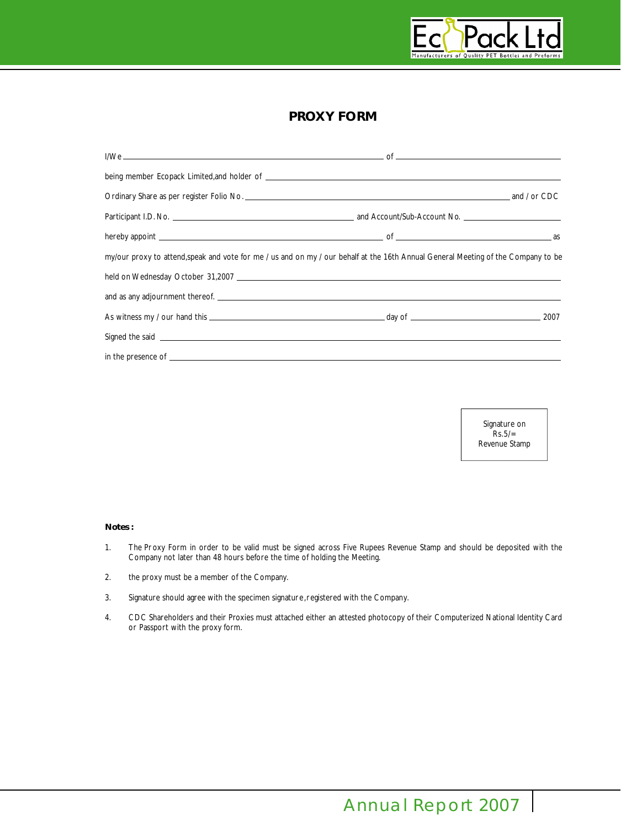

# **PROXY FORM**

| my/our proxy to attend, speak and vote for me / us and on my / our behalf at the 16th Annual General Meeting of the Company to be |  |
|-----------------------------------------------------------------------------------------------------------------------------------|--|
|                                                                                                                                   |  |
|                                                                                                                                   |  |
|                                                                                                                                   |  |
| Signed the said <b>contract the said</b> contract of the said contract of the said contract of the said contract of the           |  |
|                                                                                                                                   |  |

Signature on  $RS.5/=$ Revenue Stamp

# **Notes :**

- 1. The Proxy Form in order to be valid must be signed across Five Rupees Revenue Stamp and should be deposited with the Company not later than 48 hours before the time of holding the Meeting.
- 2. the proxy must be a member of the Company.
- 3. Signature should agree with the specimen signature,registered with the Company.
- 4. CDC Shareholders and their Proxies must attached either an attested photocopy of their Computerized National Identity Card or Passport with the proxy form.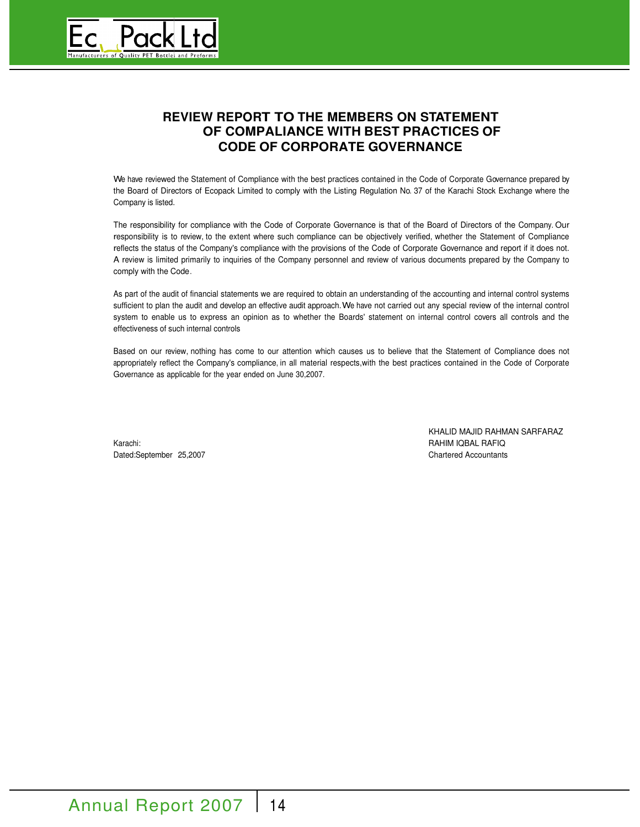

# **REVIEW REPORT TO THE MEMBERS ON STATEMENT OF COMPALIANCE WITH BEST PRACTICES OF CODE OF CORPORATE GOVERNANCE**

We have reviewed the Statement of Compliance with the best practices contained in the Code of Corporate Governance prepared by the Board of Directors of Ecopack Limited to comply with the Listing Regulation No. 37 of the Karachi Stock Exchange where the Company is listed.

The responsibility for compliance with the Code of Corporate Governance is that of the Board of Directors of the Company. Our responsibility is to review, to the extent where such compliance can be objectively verified, whether the Statement of Compliance reflects the status of the Company's compliance with the provisions of the Code of Corporate Governance and report if it does not. A review is limited primarily to inquiries of the Company personnel and review of various documents prepared by the Company to comply with the Code.

As part of the audit of financial statements we are required to obtain an understanding of the accounting and internal control systems sufficient to plan the audit and develop an effective audit approach.We have not carried out any special review of the internal control system to enable us to express an opinion as to whether the Boards' statement on internal control covers all controls and the effectiveness of such internal controls

Based on our review, nothing has come to our attention which causes us to believe that the Statement of Compliance does not appropriately reflect the Company's compliance, in all material respects,with the best practices contained in the Code of Corporate Governance as applicable for the year ended on June 30,2007.

Karachi: **RAHIM IQBAL RAFIQ** Dated:September 25,2007 Chartered Accountants

KHALID MAJID RAHMAN SARFARAZ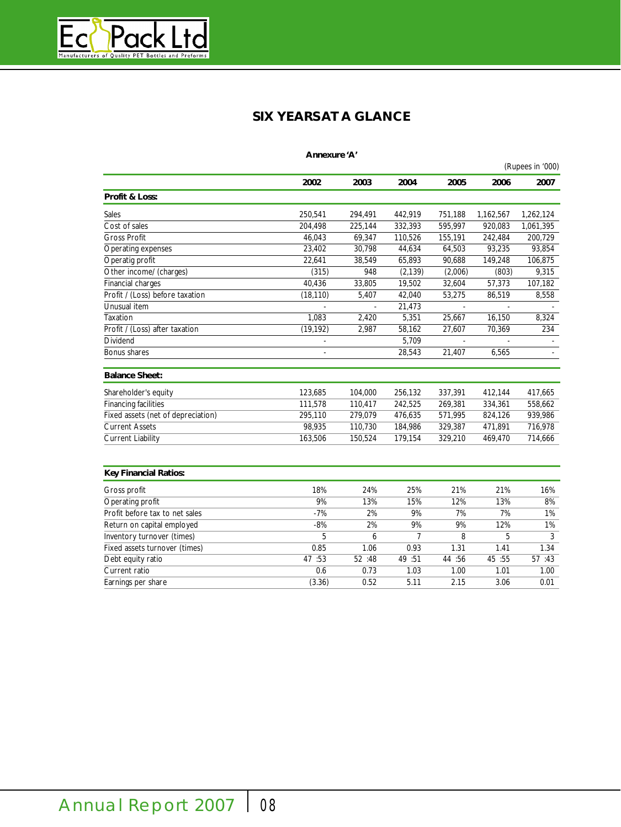

# **SIX YEARS ATA GLANCE**

|                                    | Annexure 'A' |         |          |         |           |                  |
|------------------------------------|--------------|---------|----------|---------|-----------|------------------|
|                                    |              |         |          |         |           | (Rupees in '000) |
|                                    | 2002         | 2003    | 2004     | 2005    | 2006      | 2007             |
| <b>Profit &amp; Loss:</b>          |              |         |          |         |           |                  |
| <b>Sales</b>                       | 250,541      | 294,491 | 442,919  | 751,188 | 1,162,567 | 1,262,124        |
| Cost of sales                      | 204,498      | 225,144 | 332,393  | 595,997 | 920,083   | 1,061,395        |
| <b>Gross Profit</b>                | 46,043       | 69,347  | 110,526  | 155,191 | 242,484   | 200,729          |
| Operating expenses                 | 23,402       | 30,798  | 44,634   | 64,503  | 93,235    | 93,854           |
| Operatig profit                    | 22,641       | 38,549  | 65,893   | 90,688  | 149,248   | 106,875          |
| Other income/ (charges)            | (315)        | 948     | (2, 139) | (2,006) | (803)     | 9,315            |
| <b>Financial charges</b>           | 40,436       | 33,805  | 19,502   | 32,604  | 57,373    | 107,182          |
| Profit / (Loss) before taxation    | (18, 110)    | 5,407   | 42,040   | 53,275  | 86,519    | 8,558            |
| Unusual item                       |              |         | 21,473   |         |           |                  |
| Taxation                           | 1,083        | 2,420   | 5,351    | 25,667  | 16,150    | 8,324            |
| Profit / (Loss) after taxation     | (19, 192)    | 2,987   | 58,162   | 27,607  | 70,369    | 234              |
| Dividend                           |              |         | 5,709    |         |           |                  |
| Bonus shares                       |              |         | 28,543   | 21,407  | 6,565     |                  |
| <b>Balance Sheet:</b>              |              |         |          |         |           |                  |
| Shareholder's equity               | 123,685      | 104,000 | 256,132  | 337,391 | 412,144   | 417,665          |
| <b>Financing facilities</b>        | 111,578      | 110,417 | 242,525  | 269,381 | 334,361   | 558,662          |
| Fixed assets (net of depreciation) | 295,110      | 279,079 | 476,635  | 571,995 | 824,126   | 939,986          |
| <b>Current Assets</b>              | 98,935       | 110,730 | 184,986  | 329,387 | 471,891   | 716,978          |
| <b>Current Liability</b>           | 163,506      | 150,524 | 179,154  | 329,210 | 469,470   | 714,666          |
|                                    |              |         |          |         |           |                  |
| <b>Key Financial Ratios:</b>       |              |         |          |         |           |                  |
| Gross profit                       | 18%          | 24%     | 25%      | 21%     | 21%       | 16%              |
| Operating profit                   | 9%           | 13%     | 15%      | 12%     | 13%       | 8%               |
| Profit before tax to net sales     | $-7%$        | 2%      | 9%       | 7%      | 7%        | 1%               |
| Return on capital employed         | $-8%$        | 2%      | 9%       | 9%      | 12%       | 1%               |
| Inventory turnover (times)         | 5            | 6       | 7        | 8       | 5         | 3                |
| Fixed assets turnover (times)      | 0.85         | 1.06    | 0.93     | 1.31    | 1.41      | 1.34             |
| Debt equity ratio                  | 47 :53       | 52 :48  | 49 :51   | 44 :56  | 45 :55    | 57 :43           |
| Current ratio                      | 0.6          | 0.73    | 1.03     | 1.00    | 1.01      | 1.00             |
| Earnings per share                 | (3.36)       | 0.52    | 5.11     | 2.15    | 3.06      | 0.01             |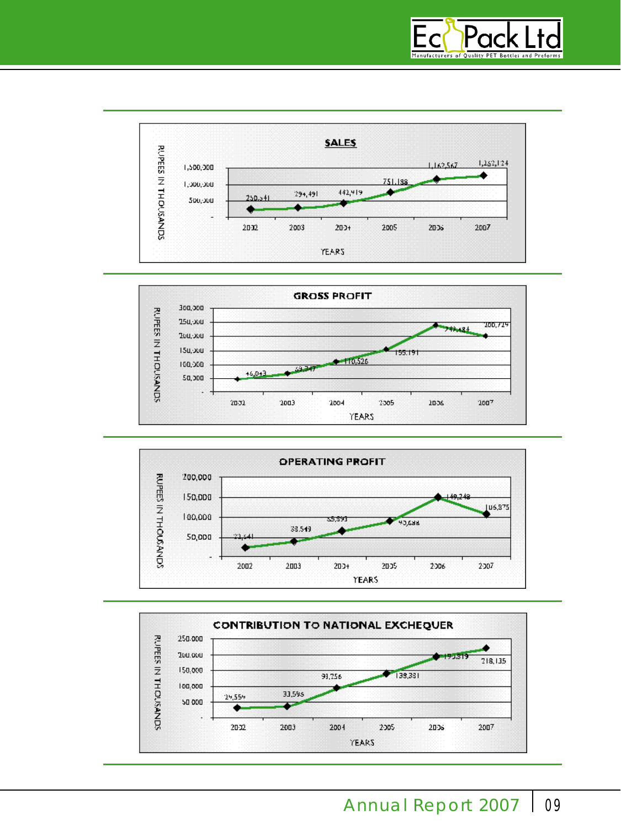







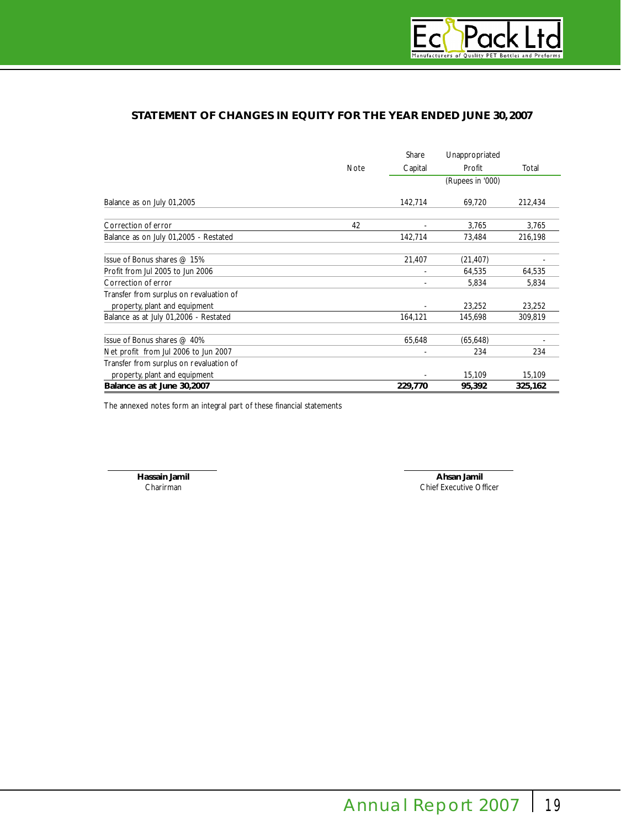

# **STATEMENT OF CHANGES IN EQUITY FOR THE YEAR ENDED JUNE 30, 2007**

|                                         |             | Share            | Unappropriated |         |
|-----------------------------------------|-------------|------------------|----------------|---------|
|                                         | <b>Note</b> | Capital          | Profit         | Total   |
|                                         |             | (Rupees in '000) |                |         |
| Balance as on July 01,2005              |             | 142,714          | 69,720         | 212,434 |
| Correction of error                     | 42          |                  | 3,765          | 3,765   |
| Balance as on July 01,2005 - Restated   |             | 142,714          | 73,484         | 216,198 |
| Issue of Bonus shares $@$ 15%           |             | 21,407           | (21, 407)      |         |
| Profit from Jul 2005 to Jun 2006        |             |                  | 64,535         | 64,535  |
| Correction of error                     |             |                  | 5,834          | 5,834   |
| Transfer from surplus on revaluation of |             |                  |                |         |
| property, plant and equipment           |             |                  | 23,252         | 23,252  |
| Balance as at July 01,2006 - Restated   |             | 164,121          | 145,698        | 309,819 |
| Issue of Bonus shares @ 40%             |             | 65,648           | (65, 648)      |         |
| Net profit from Jul 2006 to Jun 2007    |             |                  | 234            | 234     |
| Transfer from surplus on revaluation of |             |                  |                |         |
| property, plant and equipment           |             |                  | 15,109         | 15,109  |
| Balance as at June 30,2007              |             | 229,770          | 95,392         | 325,162 |

The annexed notes form an integral part of these financial statements

**Hassain Jamil Ahsan Jamil** Chief Executive Officer